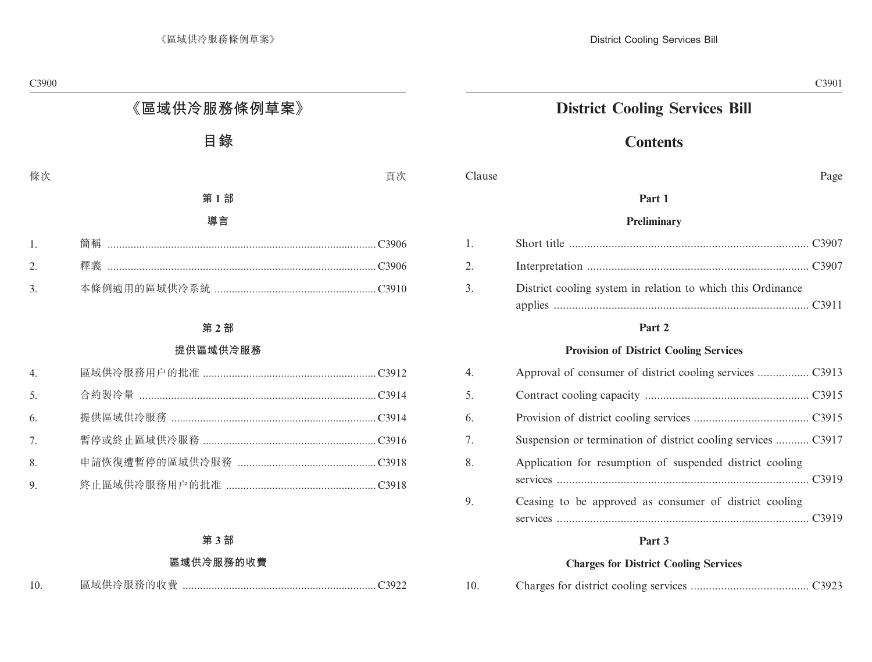## **District Cooling Services Bill**

### **Contents**

Clause Page

### **Part 1**

#### **Preliminary**

| 2. |                                                             |  |
|----|-------------------------------------------------------------|--|
| 3. | District cooling system in relation to which this Ordinance |  |

#### **Part 2**

### **Provision of District Cooling Services**

| 4. |                                                               |
|----|---------------------------------------------------------------|
| 5. |                                                               |
| 6. |                                                               |
| 7. | Suspension or termination of district cooling services  C3917 |
| 8. | Application for resumption of suspended district cooling      |
| 9. | Ceasing to be approved as consumer of district cooling        |

### **Part 3**

#### **Charges for District Cooling Services**

| 10. |  |  |  |  |  |  |
|-----|--|--|--|--|--|--|
|-----|--|--|--|--|--|--|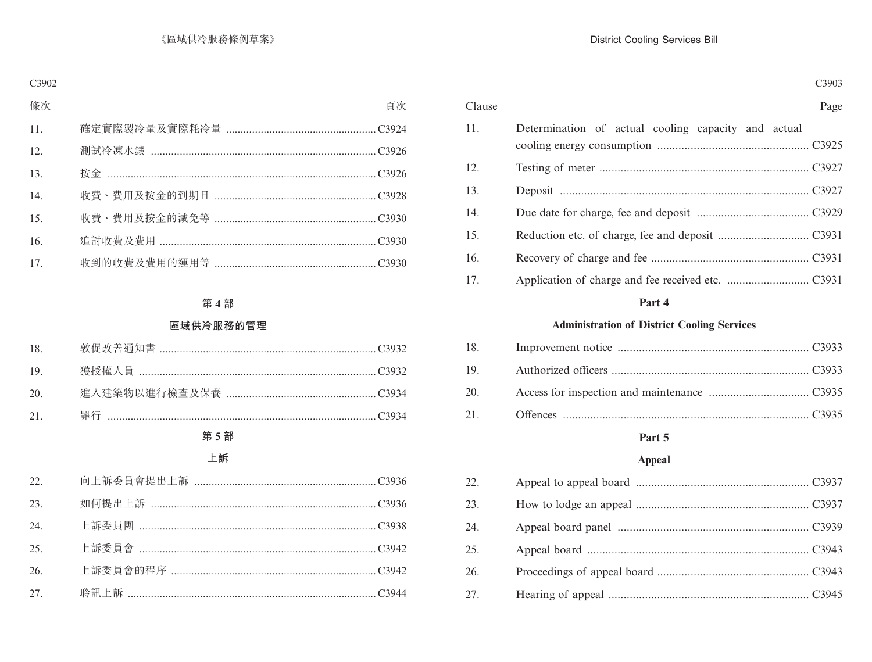|        | C3903                                               |  |  |  |
|--------|-----------------------------------------------------|--|--|--|
| Clause | Page                                                |  |  |  |
| 11.    | Determination of actual cooling capacity and actual |  |  |  |
| 12.    |                                                     |  |  |  |
| 13.    |                                                     |  |  |  |
| 14.    |                                                     |  |  |  |
| 15.    |                                                     |  |  |  |
| 16.    |                                                     |  |  |  |
| 17.    |                                                     |  |  |  |
|        | Part 4                                              |  |  |  |
|        | <b>Administration of District Cooling Services</b>  |  |  |  |
| 18.    |                                                     |  |  |  |
| 19.    |                                                     |  |  |  |
| 20.    |                                                     |  |  |  |
| 21.    |                                                     |  |  |  |
|        | Part 5                                              |  |  |  |

### Appeal

| 22. |  |
|-----|--|
| 23. |  |
| 24. |  |
| 25. |  |
| 26. |  |
| 27. |  |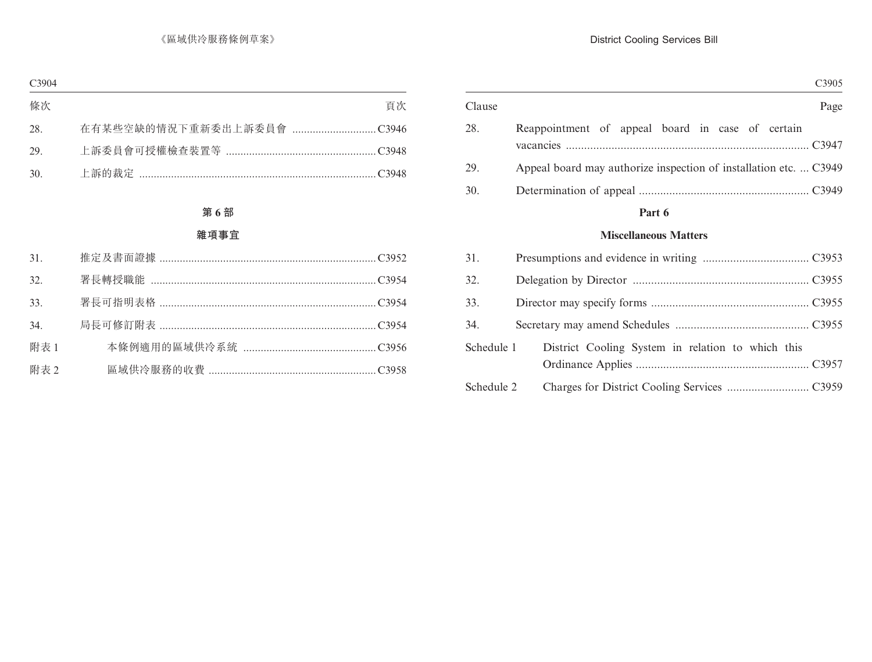|            | C3905                                                             |
|------------|-------------------------------------------------------------------|
| Clause     | Page                                                              |
| 28.        | Reappointment of appeal board in case of certain                  |
| 29.        | Appeal board may authorize inspection of installation etc.  C3949 |
| 30.        |                                                                   |
|            | Part 6                                                            |
|            | <b>Miscellaneous Matters</b>                                      |
| 31.        |                                                                   |
| 32.        |                                                                   |
| 33.        |                                                                   |
| 34.        |                                                                   |
| Schedule 1 | District Cooling System in relation to which this                 |
|            |                                                                   |
| Schedule 2 |                                                                   |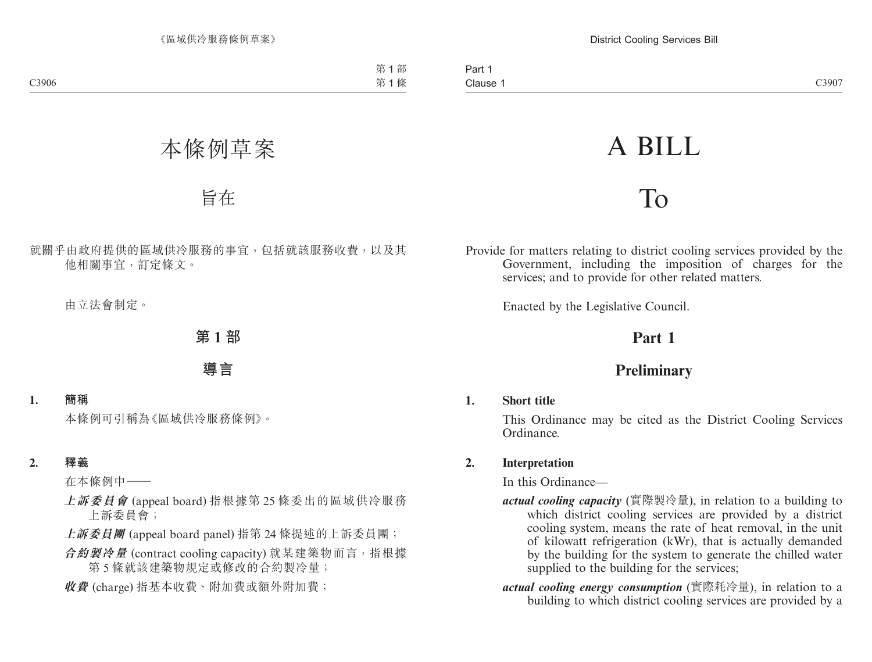# A BILL

## To

Provide for matters relating to district cooling services provided by the Government, including the imposition of charges for the services; and to provide for other related matters.

Enacted by the Legislative Council.

### **Part 1**

### **Preliminary**

### **1. Short title**

This Ordinance may be cited as the District Cooling Services Ordinance.

### **2. Interpretation**

In this Ordinance—

- *actual cooling capacity* (實際製冷量), in relation to a building to which district cooling services are provided by a district cooling system, means the rate of heat removal, in the unit of kilowatt refrigeration (kWr), that is actually demanded by the building for the system to generate the chilled water supplied to the building for the services;
- *actual cooling energy consumption* (實際耗冷量), in relation to a building to which district cooling services are provided by a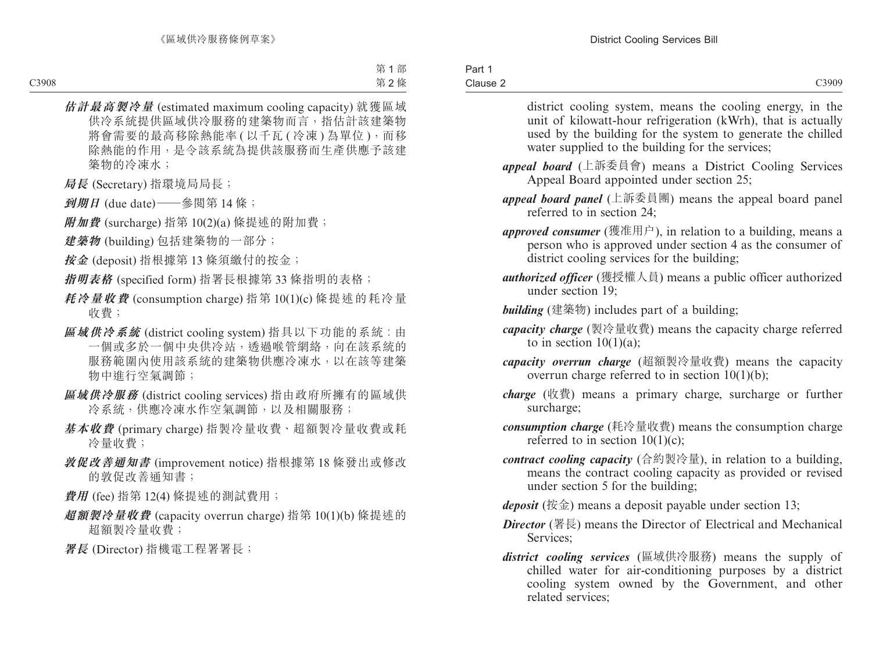| Part 1   |  |
|----------|--|
| Clause 2 |  |

district cooling system, means the cooling energy, in the unit of kilowatt-hour refrigeration (kWrh), that is actually used by the building for the system to generate the chilled water supplied to the building for the services;

- *appeal board* (上訴委員會) means a District Cooling Services Appeal Board appointed under section 25;
- *appeal board panel* (上訴委員團) means the appeal board panel referred to in section 24;
- *approved consumer* (獲准用户), in relation to a building, means a person who is approved under section 4 as the consumer of district cooling services for the building;
- *authorized officer* (獲授權人員) means a public officer authorized under section 19;
- *building* (建築物) includes part of a building;
- *capacity charge* (製冷量收費) means the capacity charge referred to in section  $10(1)(a)$ ;
- *capacity overrun charge* (超額製冷量收費) means the capacity overrun charge referred to in section  $10(1)(b)$ ;
- *charge* (收費) means a primary charge, surcharge or further surcharge;
- *consumption charge* (耗冷量收費) means the consumption charge referred to in section  $10(1)(c)$ ;
- *contract cooling capacity* (合約製冷量), in relation to a building, means the contract cooling capacity as provided or revised under section 5 for the building;
- *deposit* (按金) means a deposit payable under section 13;
- *Director* (署長) means the Director of Electrical and Mechanical Services;
- *district cooling services* (區域供冷服務) means the supply of chilled water for air-conditioning purposes by a district cooling system owned by the Government, and other related services;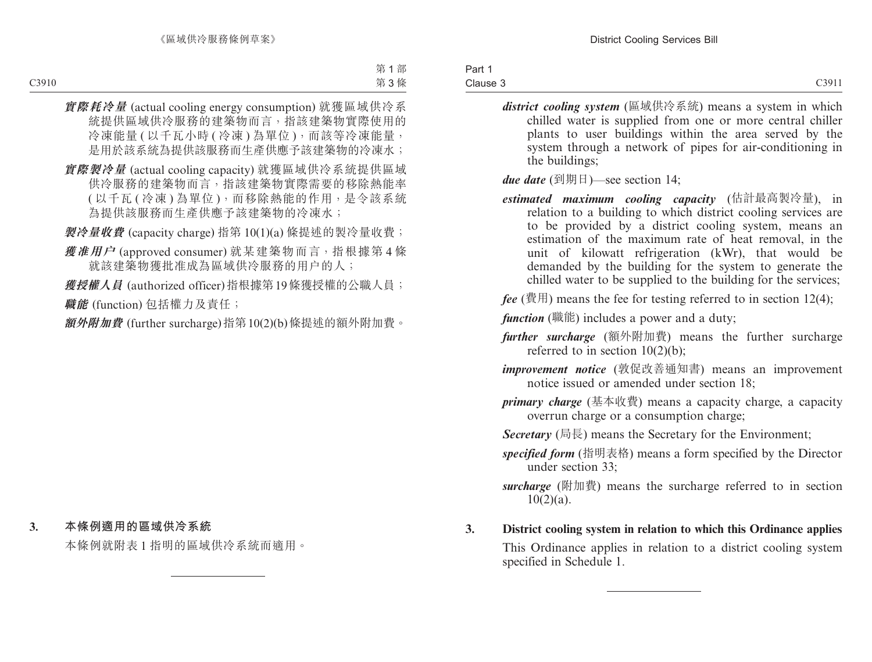#### Part 1 Clause 3

- *district cooling system* (區域供冷系統) means a system in which chilled water is supplied from one or more central chiller plants to user buildings within the area served by the system through a network of pipes for air-conditioning in the buildings;
- *due date* (到期日)—see section 14;
- *estimated maximum cooling capacity* (估計最高製冷量), in relation to a building to which district cooling services are to be provided by a district cooling system, means an estimation of the maximum rate of heat removal, in the unit of kilowatt refrigeration (kWr), that would be demanded by the building for the system to generate the chilled water to be supplied to the building for the services;
- $fee$  (費用) means the fee for testing referred to in section 12(4);
- *function* (職能) includes a power and a duty;
- *further surcharge* (額外附加費) means the further surcharge referred to in section  $10(2)(b)$ ;
- *improvement notice* (敦促改善通知書) means an improvement notice issued or amended under section 18;
- *primary charge* (基本收費) means a capacity charge, a capacity overrun charge or a consumption charge;
- *Secretary* (局長) means the Secretary for the Environment;
- *specified form* (指明表格) means a form specified by the Director under section 33;
- *surcharge* (附加費) means the surcharge referred to in section  $10(2)(a)$ .
- **3. District cooling system in relation to which this Ordinance applies**

This Ordinance applies in relation to a district cooling system specified in Schedule 1.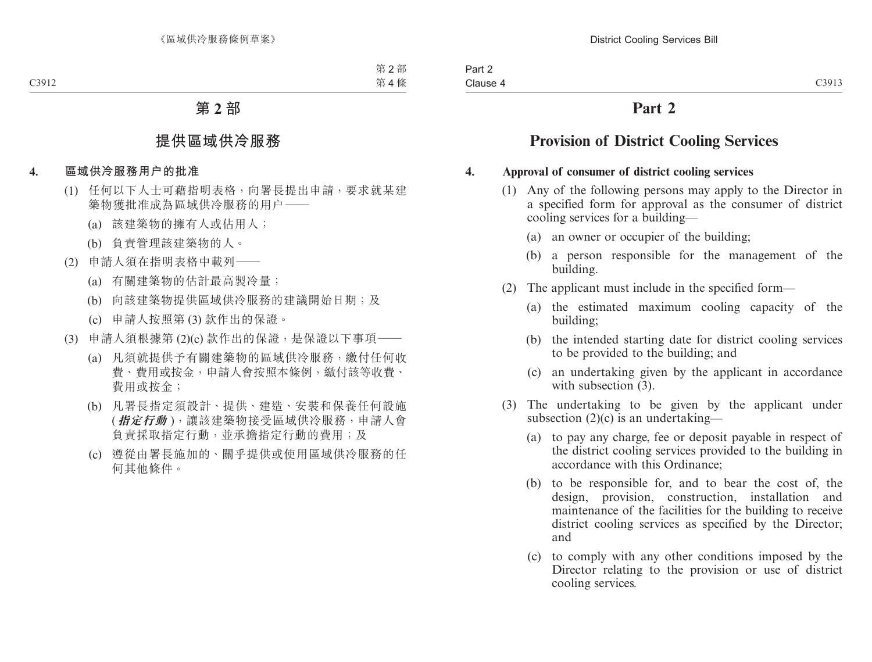### **Part 2**

### **Provision of District Cooling Services**

### **4. Approval of consumer of district cooling services**

- (1) Any of the following persons may apply to the Director in a specified form for approval as the consumer of district cooling services for a building—
	- (a) an owner or occupier of the building;
	- (b) a person responsible for the management of the building.
- (2) The applicant must include in the specified form—
	- (a) the estimated maximum cooling capacity of the building;
	- (b) the intended starting date for district cooling services to be provided to the building; and
	- (c) an undertaking given by the applicant in accordance with subsection  $(3)$ .
- (3) The undertaking to be given by the applicant under subsection  $(2)(c)$  is an undertaking—
	- (a) to pay any charge, fee or deposit payable in respect of the district cooling services provided to the building in accordance with this Ordinance;
	- (b) to be responsible for, and to bear the cost of, the design, provision, construction, installation and maintenance of the facilities for the building to receive district cooling services as specified by the Director; and
	- (c) to comply with any other conditions imposed by the Director relating to the provision or use of district cooling services.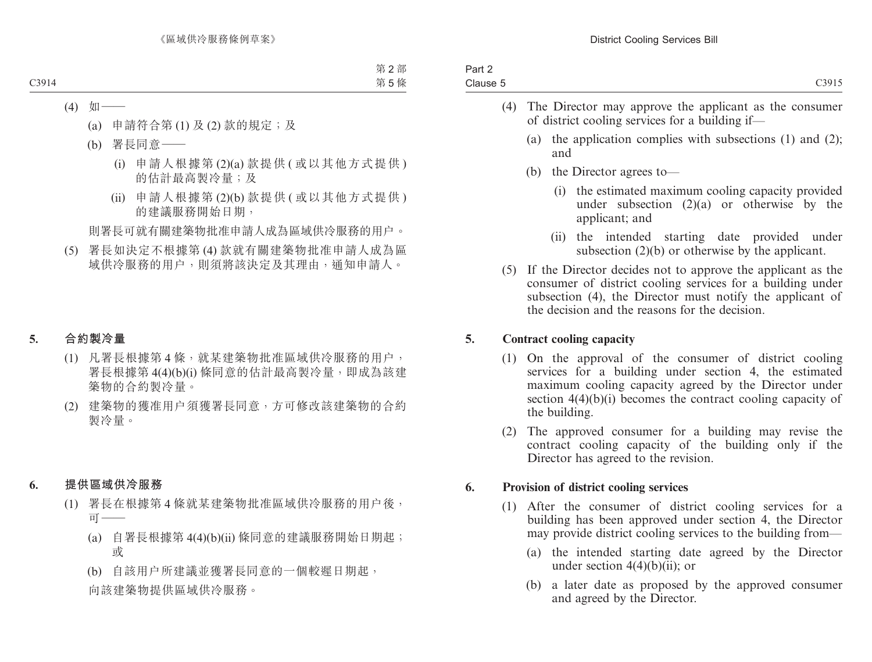| Part 2   |                |
|----------|----------------|
| Clause 5 | $\bigcap$ 3015 |
|          |                |

- (4) The Director may approve the applicant as the consumer of district cooling services for a building if—
	- (a) the application complies with subsections (1) and (2); and
	- (b) the Director agrees to—
		- (i) the estimated maximum cooling capacity provided under subsection  $(2)(a)$  or otherwise by the applicant; and
		- (ii) the intended starting date provided under subsection (2)(b) or otherwise by the applicant.
- (5) If the Director decides not to approve the applicant as the consumer of district cooling services for a building under subsection (4), the Director must notify the applicant of the decision and the reasons for the decision.

### **5. Contract cooling capacity**

- (1) On the approval of the consumer of district cooling services for a building under section 4, the estimated maximum cooling capacity agreed by the Director under section 4(4)(b)(i) becomes the contract cooling capacity of the building.
- (2) The approved consumer for a building may revise the contract cooling capacity of the building only if the Director has agreed to the revision.

### **6. Provision of district cooling services**

- (1) After the consumer of district cooling services for a building has been approved under section 4, the Director may provide district cooling services to the building from—
	- (a) the intended starting date agreed by the Director under section  $4(4)(b)(ii)$ ; or
	- (b) a later date as proposed by the approved consumer and agreed by the Director.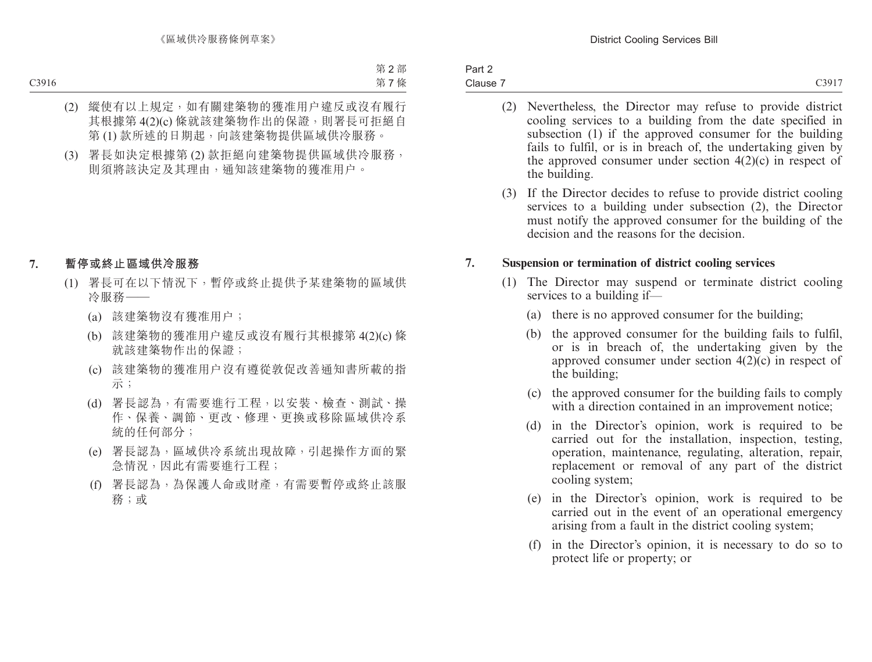| Part 2   |       |
|----------|-------|
| Clause 7 | C3917 |
|          |       |

- (2) Nevertheless, the Director may refuse to provide district cooling services to a building from the date specified in subsection (1) if the approved consumer for the building fails to fulfil, or is in breach of, the undertaking given by the approved consumer under section  $4(2)(c)$  in respect of the building.
- (3) If the Director decides to refuse to provide district cooling services to a building under subsection (2), the Director must notify the approved consumer for the building of the decision and the reasons for the decision.

### **7. Suspension or termination of district cooling services**

- (1) The Director may suspend or terminate district cooling services to a building if—
	- (a) there is no approved consumer for the building;
	- (b) the approved consumer for the building fails to fulfil, or is in breach of, the undertaking given by the approved consumer under section 4(2)(c) in respect of the building;
	- (c) the approved consumer for the building fails to comply with a direction contained in an improvement notice;
	- (d) in the Director's opinion, work is required to be carried out for the installation, inspection, testing, operation, maintenance, regulating, alteration, repair, replacement or removal of any part of the district cooling system;
	- (e) in the Director's opinion, work is required to be carried out in the event of an operational emergency arising from a fault in the district cooling system;
	- (f) in the Director's opinion, it is necessary to do so to protect life or property; or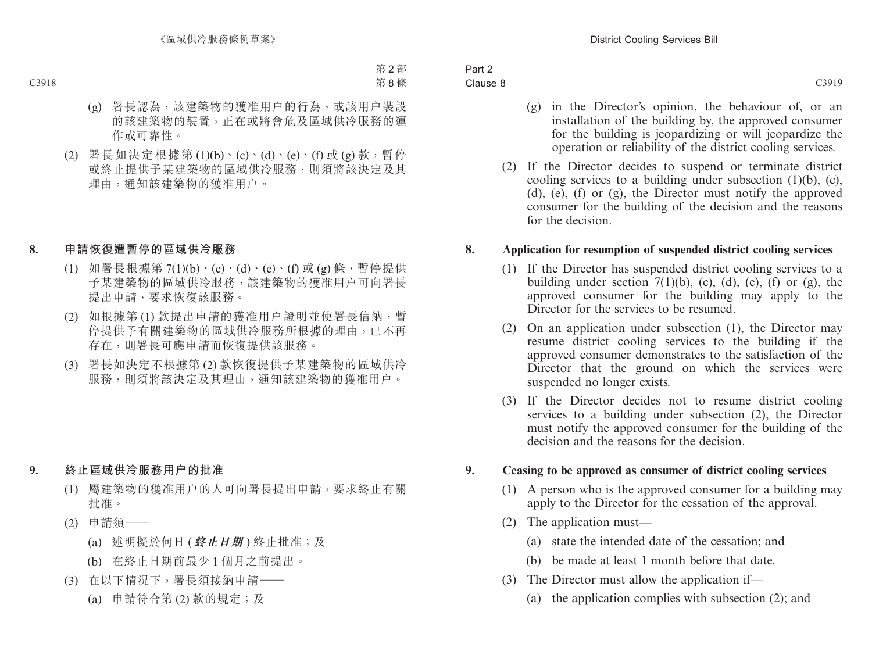| Part 2   |       |
|----------|-------|
| Clause 8 | C3919 |
|          |       |

- (g) in the Director's opinion, the behaviour of, or an installation of the building by, the approved consumer for the building is jeopardizing or will jeopardize the operation or reliability of the district cooling services.
- (2) If the Director decides to suspend or terminate district cooling services to a building under subsection (1)(b), (c), (d), (e), (f) or (g), the Director must notify the approved consumer for the building of the decision and the reasons for the decision.

### **8. Application for resumption of suspended district cooling services**

- (1) If the Director has suspended district cooling services to a building under section  $7(1)(b)$ , (c), (d), (e), (f) or (g), the approved consumer for the building may apply to the Director for the services to be resumed.
- (2) On an application under subsection (1), the Director may resume district cooling services to the building if the approved consumer demonstrates to the satisfaction of the Director that the ground on which the services were suspended no longer exists.
- (3) If the Director decides not to resume district cooling services to a building under subsection (2), the Director must notify the approved consumer for the building of the decision and the reasons for the decision.

### **9. Ceasing to be approved as consumer of district cooling services**

- (1) A person who is the approved consumer for a building may apply to the Director for the cessation of the approval.
- (2) The application must—
	- (a) state the intended date of the cessation; and
	- (b) be made at least 1 month before that date.
- (3) The Director must allow the application if—
	- (a) the application complies with subsection (2); and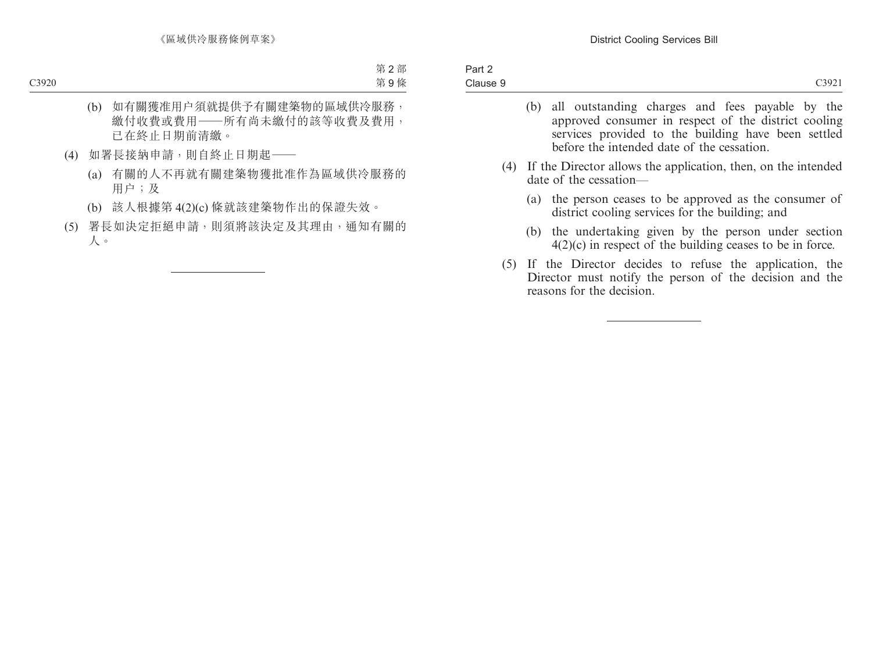(b) all outstanding charges and fees payable by the approved consumer in respect of the district cooling services provided to the building have been settled before the intended date of the cessation. (4) If the Director allows the application, then, on the intended date of the cessation— (a) the person ceases to be approved as the consumer of district cooling services for the building; and (b) the undertaking given by the person under section 4(2)(c) in respect of the building ceases to be in force. (5) If the Director decides to refuse the application, the Director must notify the person of the decision and the reasons for the decision.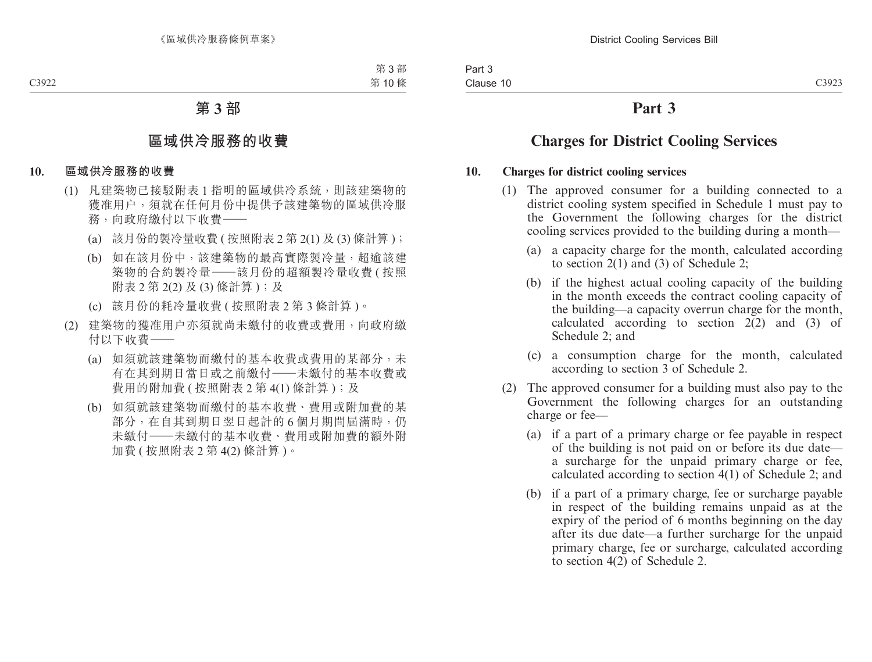### **Part 3**

### **Charges for District Cooling Services**

### **10. Charges for district cooling services**

- (1) The approved consumer for a building connected to a district cooling system specified in Schedule 1 must pay to the Government the following charges for the district cooling services provided to the building during a month—
	- (a) a capacity charge for the month, calculated according to section 2(1) and (3) of Schedule 2;
	- (b) if the highest actual cooling capacity of the building in the month exceeds the contract cooling capacity of the building—a capacity overrun charge for the month, calculated according to section 2(2) and (3) of Schedule 2; and
	- (c) a consumption charge for the month, calculated according to section 3 of Schedule 2.
- (2) The approved consumer for a building must also pay to the Government the following charges for an outstanding charge or fee—
	- (a) if a part of a primary charge or fee payable in respect of the building is not paid on or before its due date a surcharge for the unpaid primary charge or fee, calculated according to section 4(1) of Schedule 2; and
	- (b) if a part of a primary charge, fee or surcharge payable in respect of the building remains unpaid as at the expiry of the period of 6 months beginning on the day after its due date—a further surcharge for the unpaid primary charge, fee or surcharge, calculated according to section 4(2) of Schedule 2.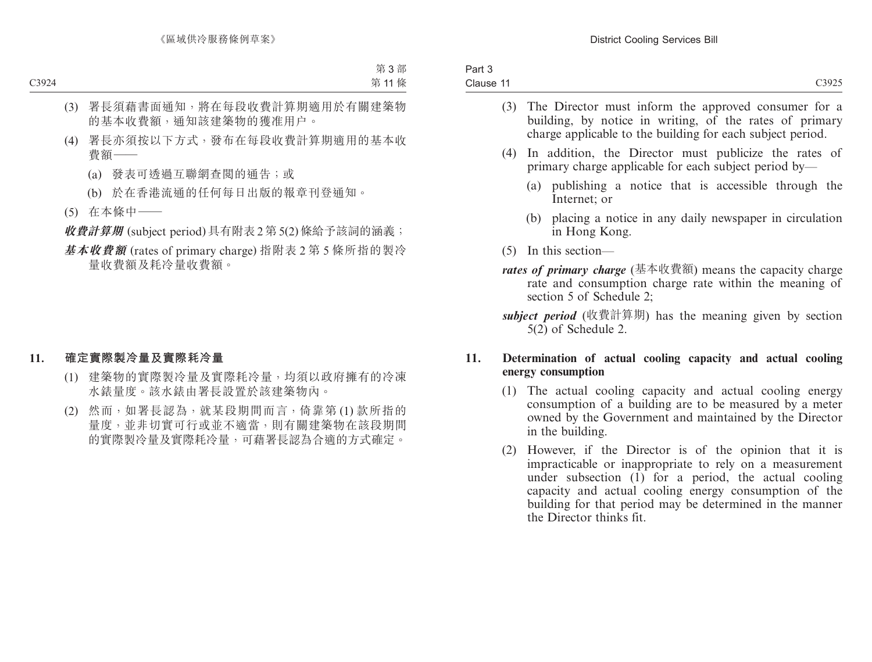| Part 3    |                   |
|-----------|-------------------|
| Clause 11 | C <sub>3925</sub> |
|           |                   |

- (3) The Director must inform the approved consumer for a building, by notice in writing, of the rates of primary charge applicable to the building for each subject period.
- (4) In addition, the Director must publicize the rates of primary charge applicable for each subject period by—
	- (a) publishing a notice that is accessible through the Internet; or
	- (b) placing a notice in any daily newspaper in circulation in Hong Kong.
- (5) In this section—
- *rates of primary charge* (基本收費額) means the capacity charge rate and consumption charge rate within the meaning of section 5 of Schedule 2;
- *subject period* (收費計算期) has the meaning given by section 5(2) of Schedule 2.

### **11. Determination of actual cooling capacity and actual cooling energy consumption**

- (1) The actual cooling capacity and actual cooling energy consumption of a building are to be measured by a meter owned by the Government and maintained by the Director in the building.
- (2) However, if the Director is of the opinion that it is impracticable or inappropriate to rely on a measurement under subsection  $(i)$  for a period, the actual cooling capacity and actual cooling energy consumption of the building for that period may be determined in the manner the Director thinks fit.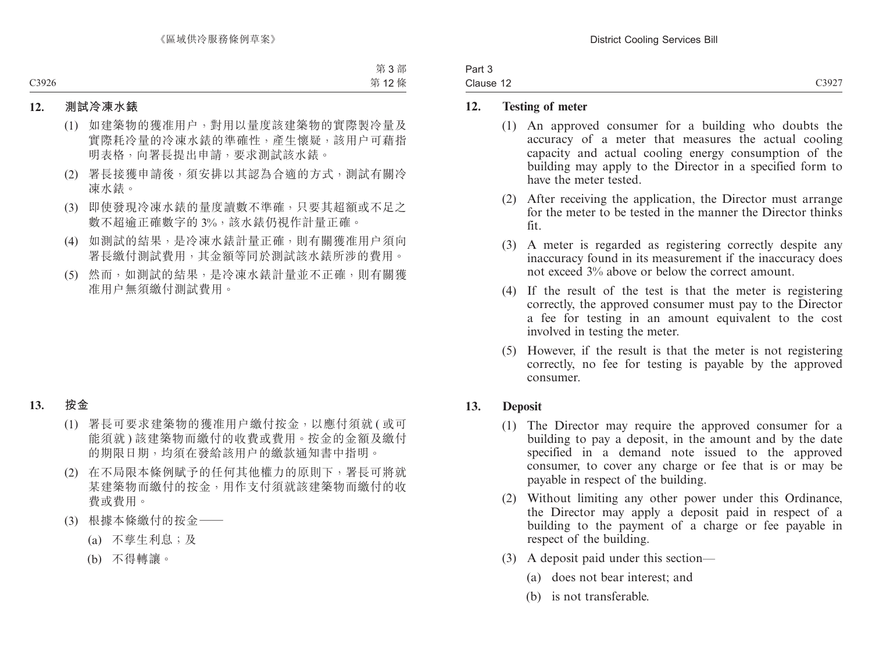| Part 3    |       |
|-----------|-------|
| Clause 12 | C3927 |

### **12. Testing of meter**

- (1) An approved consumer for a building who doubts the accuracy of a meter that measures the actual cooling capacity and actual cooling energy consumption of the building may apply to the Director in a specified form to have the meter tested.
- (2) After receiving the application, the Director must arrange for the meter to be tested in the manner the Director thinks fit.
- (3) A meter is regarded as registering correctly despite any inaccuracy found in its measurement if the inaccuracy does not exceed 3% above or below the correct amount.
- (4) If the result of the test is that the meter is registering correctly, the approved consumer must pay to the Director a fee for testing in an amount equivalent to the cost involved in testing the meter.
- (5) However, if the result is that the meter is not registering correctly, no fee for testing is payable by the approved consumer.

### **13. Deposit**

- (1) The Director may require the approved consumer for a building to pay a deposit, in the amount and by the date specified in a demand note issued to the approved consumer, to cover any charge or fee that is or may be payable in respect of the building.
- (2) Without limiting any other power under this Ordinance, the Director may apply a deposit paid in respect of a building to the payment of a charge or fee payable in respect of the building.
- (3) A deposit paid under this section—
	- (a) does not bear interest; and
	- (b) is not transferable.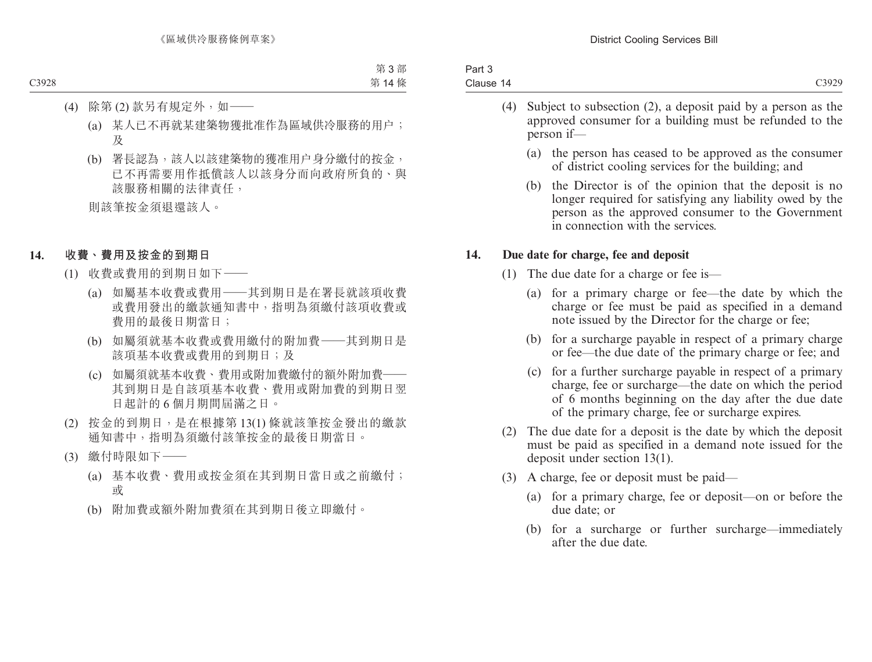|           | . |  |  | $\sim$ $\sim$ $\sim$ | . |       |
|-----------|---|--|--|----------------------|---|-------|
| Clause 14 |   |  |  |                      |   | C3929 |
| Part 3    |   |  |  |                      |   |       |

- (4) Subject to subsection (2), a deposit paid by a person as the approved consumer for a building must be refunded to the person if—
	- (a) the person has ceased to be approved as the consumer of district cooling services for the building; and
	- (b) the Director is of the opinion that the deposit is no longer required for satisfying any liability owed by the person as the approved consumer to the Government in connection with the services.

### **14. Due date for charge, fee and deposit**

- (1) The due date for a charge or fee is—
	- (a) for a primary charge or fee—the date by which the charge or fee must be paid as specified in a demand note issued by the Director for the charge or fee;
	- (b) for a surcharge payable in respect of a primary charge or fee—the due date of the primary charge or fee; and
	- (c) for a further surcharge payable in respect of a primary charge, fee or surcharge—the date on which the period of 6 months beginning on the day after the due date of the primary charge, fee or surcharge expires.
- (2) The due date for a deposit is the date by which the deposit must be paid as specified in a demand note issued for the deposit under section 13(1).
- (3) A charge, fee or deposit must be paid—
	- (a) for a primary charge, fee or deposit—on or before the due date; or
	- (b) for a surcharge or further surcharge—immediately after the due date.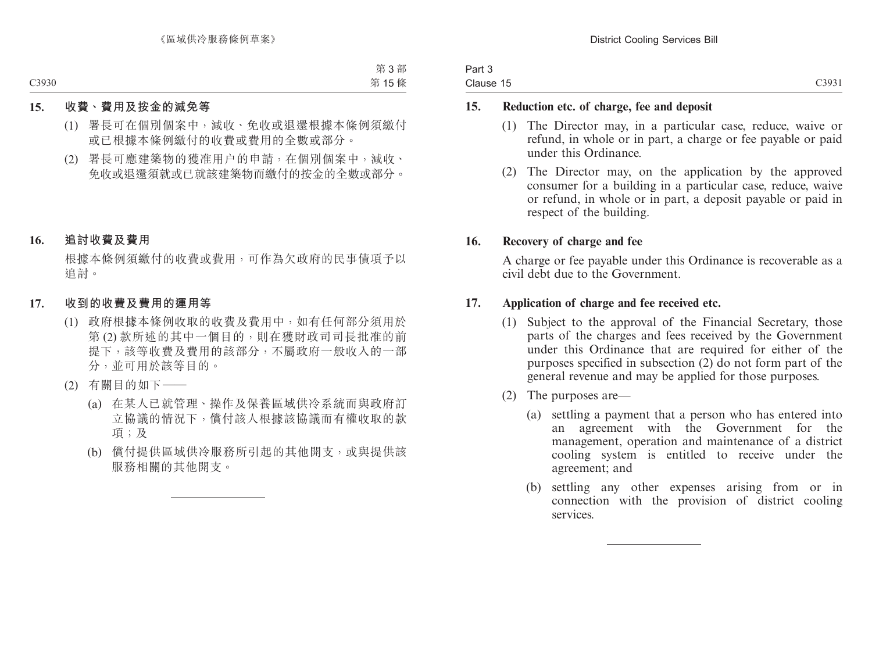| Part 3    |                   |
|-----------|-------------------|
| Clause 15 | C <sub>3931</sub> |

### **15. Reduction etc. of charge, fee and deposit**

- (1) The Director may, in a particular case, reduce, waive or refund, in whole or in part, a charge or fee payable or paid under this Ordinance.
- (2) The Director may, on the application by the approved consumer for a building in a particular case, reduce, waive or refund, in whole or in part, a deposit payable or paid in respect of the building.

### **16. Recovery of charge and fee**

A charge or fee payable under this Ordinance is recoverable as a civil debt due to the Government.

### **17. Application of charge and fee received etc.**

- (1) Subject to the approval of the Financial Secretary, those parts of the charges and fees received by the Government under this Ordinance that are required for either of the purposes specified in subsection (2) do not form part of the general revenue and may be applied for those purposes.
- (2) The purposes are—
	- (a) settling a payment that a person who has entered into an agreement with the Government for the management, operation and maintenance of a district cooling system is entitled to receive under the agreement; and
	- (b) settling any other expenses arising from or in connection with the provision of district cooling services.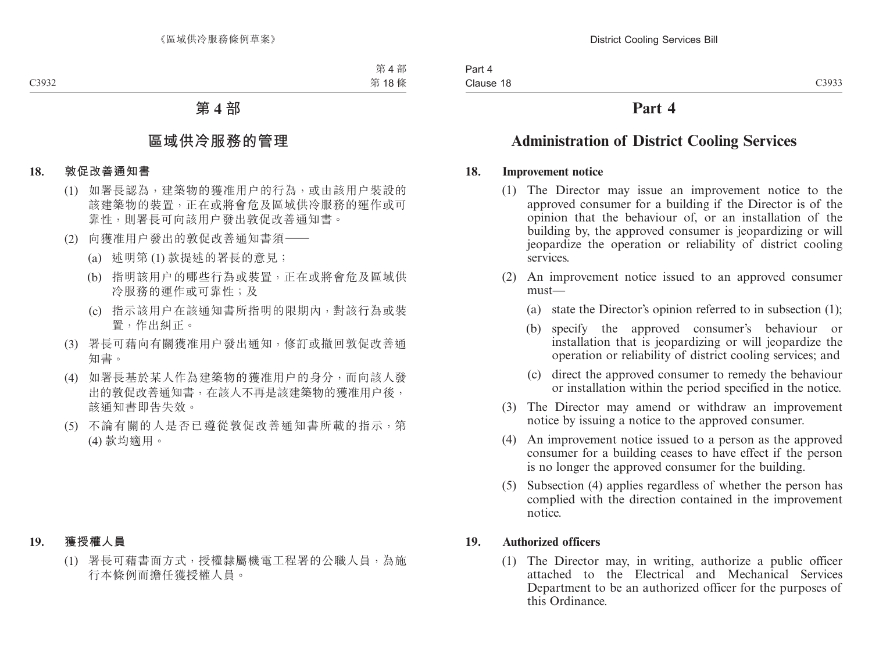### **Part 4**

### **Administration of District Cooling Services**

### **18. Improvement notice**

- (1) The Director may issue an improvement notice to the approved consumer for a building if the Director is of the opinion that the behaviour of, or an installation of the building by, the approved consumer is jeopardizing or will jeopardize the operation or reliability of district cooling services.
- (2) An improvement notice issued to an approved consumer must—
	- (a) state the Director's opinion referred to in subsection (1);
	- (b) specify the approved consumer's behaviour or installation that is jeopardizing or will jeopardize the operation or reliability of district cooling services; and
	- (c) direct the approved consumer to remedy the behaviour or installation within the period specified in the notice.
- (3) The Director may amend or withdraw an improvement notice by issuing a notice to the approved consumer.
- (4) An improvement notice issued to a person as the approved consumer for a building ceases to have effect if the person is no longer the approved consumer for the building.
- (5) Subsection (4) applies regardless of whether the person has complied with the direction contained in the improvement notice.

### **19. Authorized officers**

(1) The Director may, in writing, authorize a public officer attached to the Electrical and Mechanical Services Department to be an authorized officer for the purposes of this Ordinance.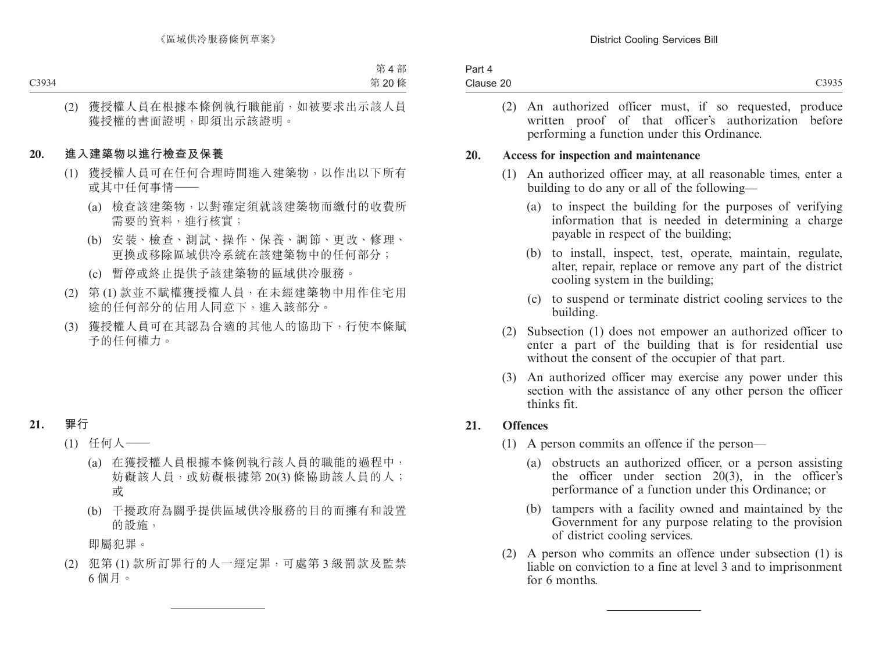| Part 4    |  |
|-----------|--|
| Clause 20 |  |
|           |  |

(2) An authorized officer must, if so requested, produce written proof of that officer's authorization before performing a function under this Ordinance.

#### **20. Access for inspection and maintenance**

- (1) An authorized officer may, at all reasonable times, enter a building to do any or all of the following—
	- (a) to inspect the building for the purposes of verifying information that is needed in determining a charge payable in respect of the building;
	- (b) to install, inspect, test, operate, maintain, regulate, alter, repair, replace or remove any part of the district cooling system in the building;
	- (c) to suspend or terminate district cooling services to the building.
- (2) Subsection (1) does not empower an authorized officer to enter a part of the building that is for residential use without the consent of the occupier of that part.
- (3) An authorized officer may exercise any power under this section with the assistance of any other person the officer thinks fit.

### **21. Offences**

- (1) A person commits an offence if the person—
	- (a) obstructs an authorized officer, or a person assisting the officer under section 20(3), in the officer's performance of a function under this Ordinance; or
	- (b) tampers with a facility owned and maintained by the Government for any purpose relating to the provision of district cooling services.
- (2) A person who commits an offence under subsection (1) is liable on conviction to a fine at level 3 and to imprisonment for 6 months.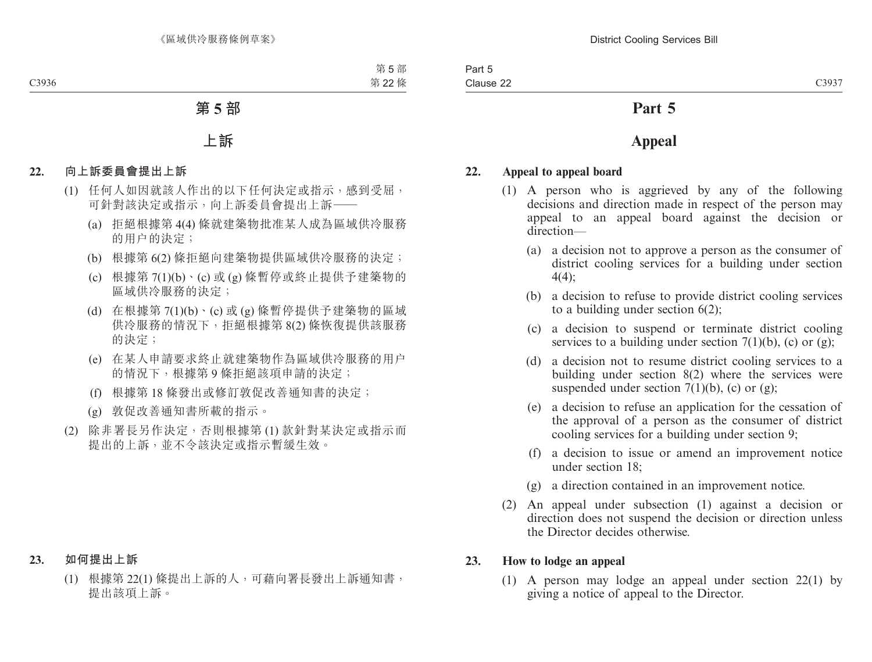### **Part 5**

### **Appeal**

### **22. Appeal to appeal board**

- (1) A person who is aggrieved by any of the following decisions and direction made in respect of the person may appeal to an appeal board against the decision or direction—
	- (a) a decision not to approve a person as the consumer of district cooling services for a building under section 4(4);
	- (b) a decision to refuse to provide district cooling services to a building under section 6(2);
	- (c) a decision to suspend or terminate district cooling services to a building under section  $7(1)(b)$ , (c) or (g);
	- (d) a decision not to resume district cooling services to a building under section 8(2) where the services were suspended under section  $7(1)(b)$ , (c) or (g);
	- (e) a decision to refuse an application for the cessation of the approval of a person as the consumer of district cooling services for a building under section 9;
	- (f) a decision to issue or amend an improvement notice under section 18;
	- (g) a direction contained in an improvement notice.
- (2) An appeal under subsection (1) against a decision or direction does not suspend the decision or direction unless the Director decides otherwise.

### **23. How to lodge an appeal**

(1) A person may lodge an appeal under section 22(1) by giving a notice of appeal to the Director.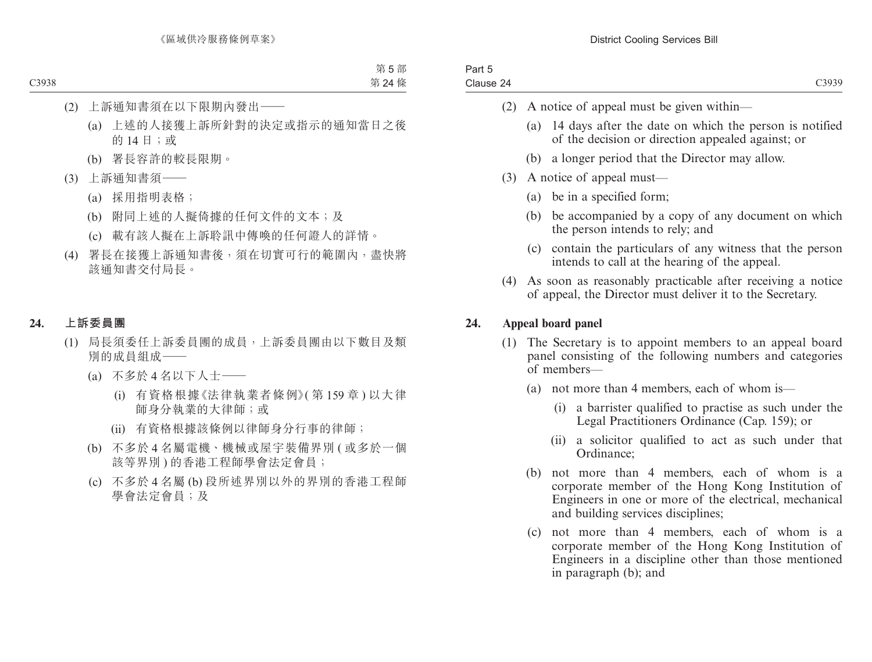| Part 5    |  |
|-----------|--|
| Clause 24 |  |

- (2) A notice of appeal must be given within—
	- (a) 14 days after the date on which the person is notified of the decision or direction appealed against; or
	- (b) a longer period that the Director may allow.
- (3) A notice of appeal must—
	- (a) be in a specified form;
	- (b) be accompanied by a copy of any document on which the person intends to rely; and
	- (c) contain the particulars of any witness that the person intends to call at the hearing of the appeal.
- (4) As soon as reasonably practicable after receiving a notice of appeal, the Director must deliver it to the Secretary.

### **24. Appeal board panel**

- (1) The Secretary is to appoint members to an appeal board panel consisting of the following numbers and categories of members—
	- (a) not more than 4 members, each of whom is—
		- (i) a barrister qualified to practise as such under the Legal Practitioners Ordinance (Cap. 159); or
		- (ii) a solicitor qualified to act as such under that Ordinance;
	- (b) not more than 4 members, each of whom is a corporate member of the Hong Kong Institution of Engineers in one or more of the electrical, mechanical and building services disciplines;
	- (c) not more than 4 members, each of whom is a corporate member of the Hong Kong Institution of Engineers in a discipline other than those mentioned in paragraph (b); and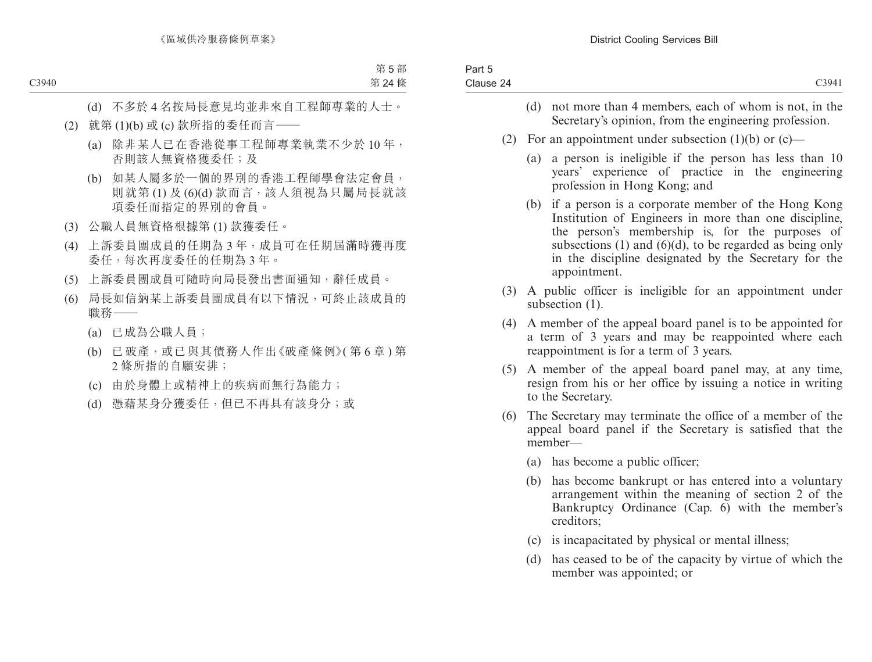| Part 5<br>Clause 24 | C3941                                                                                                                                                                                                                                                                                                           |
|---------------------|-----------------------------------------------------------------------------------------------------------------------------------------------------------------------------------------------------------------------------------------------------------------------------------------------------------------|
|                     | (d)<br>not more than 4 members, each of whom is not, in the<br>Secretary's opinion, from the engineering profession.                                                                                                                                                                                            |
| (2)                 | For an appointment under subsection $(1)(b)$ or $(c)$ —                                                                                                                                                                                                                                                         |
|                     | a person is ineligible if the person has less than 10<br>(a)<br>years' experience of practice in the engineering<br>profession in Hong Kong; and                                                                                                                                                                |
|                     | if a person is a corporate member of the Hong Kong<br>(b)<br>Institution of Engineers in more than one discipline,<br>the person's membership is, for the purposes of<br>subsections $(1)$ and $(6)(d)$ , to be regarded as being only<br>in the discipline designated by the Secretary for the<br>appointment. |
| (3)                 | A public officer is ineligible for an appointment under<br>subsection $(1)$ .                                                                                                                                                                                                                                   |
| (4)                 | A member of the appeal board panel is to be appointed for<br>a term of 3 years and may be reappointed where each<br>reappointment is for a term of 3 years.                                                                                                                                                     |
| (5)                 | A member of the appeal board panel may, at any time,<br>resign from his or her office by issuing a notice in writing<br>to the Secretary.                                                                                                                                                                       |
| (6)                 | The Secretary may terminate the office of a member of the<br>appeal board panel if the Secretary is satisfied that the<br>member-                                                                                                                                                                               |
|                     | (a) has become a public officer;                                                                                                                                                                                                                                                                                |
|                     | (b)<br>has become bankrupt or has entered into a voluntary<br>arrangement within the meaning of section 2 of the<br>Bankruptcy Ordinance (Cap. 6) with the member's<br>creditors;                                                                                                                               |
|                     | is incapacitated by physical or mental illness;<br>(c)                                                                                                                                                                                                                                                          |
|                     | (d) has ceased to be of the capacity by virtue of which the                                                                                                                                                                                                                                                     |

(d) has ceased to be of the capacity by virtue of which the member was appointed; or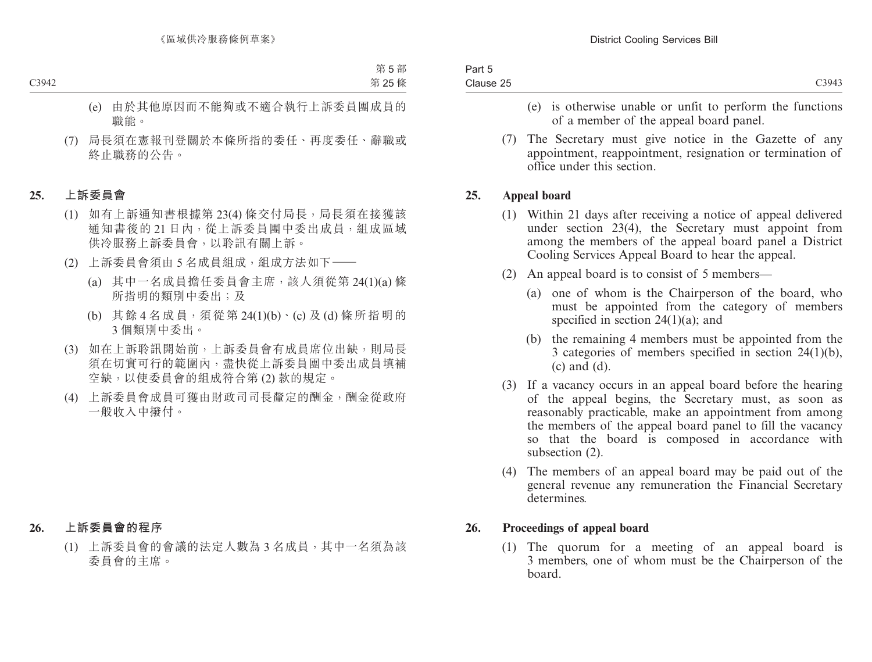| Part 5    |                   |
|-----------|-------------------|
| Clause 25 | C <sub>3943</sub> |
|           |                   |

- (e) is otherwise unable or unfit to perform the functions of a member of the appeal board panel.
- (7) The Secretary must give notice in the Gazette of any appointment, reappointment, resignation or termination of office under this section.

### **25. Appeal board**

- (1) Within 21 days after receiving a notice of appeal delivered under section 23(4), the Secretary must appoint from among the members of the appeal board panel a District Cooling Services Appeal Board to hear the appeal.
- (2) An appeal board is to consist of 5 members—
	- (a) one of whom is the Chairperson of the board, who must be appointed from the category of members specified in section  $24(1)(a)$ ; and
	- (b) the remaining 4 members must be appointed from the 3 categories of members specified in section 24(1)(b), (c) and (d).
- (3) If a vacancy occurs in an appeal board before the hearing of the appeal begins, the Secretary must, as soon as reasonably practicable, make an appointment from among the members of the appeal board panel to fill the vacancy so that the board is composed in accordance with subsection (2).
- (4) The members of an appeal board may be paid out of the general revenue any remuneration the Financial Secretary determines.

### **26. Proceedings of appeal board**

(1) The quorum for a meeting of an appeal board is 3 members, one of whom must be the Chairperson of the board.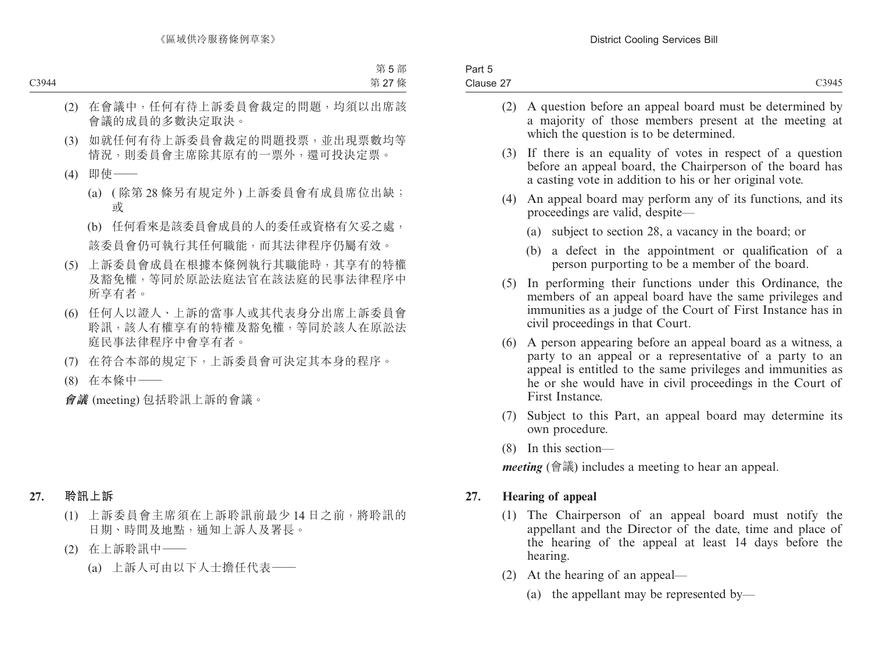| Part 5    |                   |
|-----------|-------------------|
| Clause 27 | C <sub>3945</sub> |
|           |                   |

- (2) A question before an appeal board must be determined by a majority of those members present at the meeting at which the question is to be determined.
- (3) If there is an equality of votes in respect of a question before an appeal board, the Chairperson of the board has a casting vote in addition to his or her original vote.
- (4) An appeal board may perform any of its functions, and its proceedings are valid, despite—
	- (a) subject to section 28, a vacancy in the board; or
	- (b) a defect in the appointment or qualification of a person purporting to be a member of the board.
- (5) In performing their functions under this Ordinance, the members of an appeal board have the same privileges and immunities as a judge of the Court of First Instance has in civil proceedings in that Court.
- (6) A person appearing before an appeal board as a witness, a party to an appeal or a representative of a party to an appeal is entitled to the same privileges and immunities as he or she would have in civil proceedings in the Court of First Instance.
- (7) Subject to this Part, an appeal board may determine its own procedure.
- (8) In this section—

*meeting* (會議) includes a meeting to hear an appeal.

### **27. Hearing of appeal**

- (1) The Chairperson of an appeal board must notify the appellant and the Director of the date, time and place of the hearing of the appeal at least 14 days before the hearing.
- (2) At the hearing of an appeal—
	- (a) the appellant may be represented by—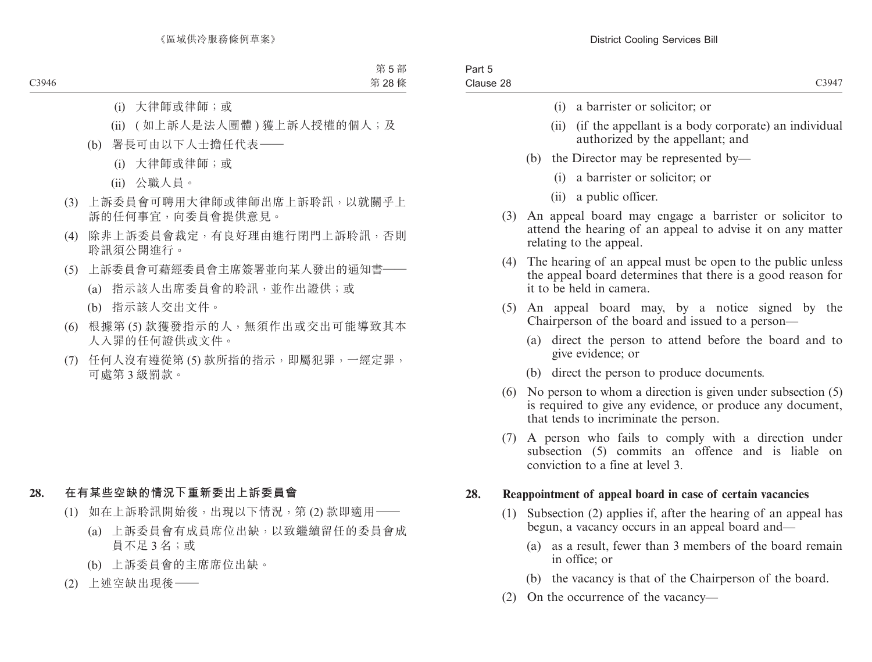- (i) a barrister or solicitor; or
- (ii) (if the appellant is a body corporate) an individual authorized by the appellant; and
- (b) the Director may be represented by—
	- (i) a barrister or solicitor; or
	- (ii) a public officer.
- (3) An appeal board may engage a barrister or solicitor to attend the hearing of an appeal to advise it on any matter relating to the appeal.
- (4) The hearing of an appeal must be open to the public unless the appeal board determines that there is a good reason for it to be held in camera.
- (5) An appeal board may, by a notice signed by the Chairperson of the board and issued to a person—
	- (a) direct the person to attend before the board and to give evidence; or
	- (b) direct the person to produce documents.
- (6) No person to whom a direction is given under subsection (5) is required to give any evidence, or produce any document, that tends to incriminate the person.
- (7) A person who fails to comply with a direction under subsection (5) commits an offence and is liable on conviction to a fine at level 3.

### **28. Reappointment of appeal board in case of certain vacancies**

- (1) Subsection (2) applies if, after the hearing of an appeal has begun, a vacancy occurs in an appeal board and—
	- (a) as a result, fewer than 3 members of the board remain in office; or
	- (b) the vacancy is that of the Chairperson of the board.
- (2) On the occurrence of the vacancy—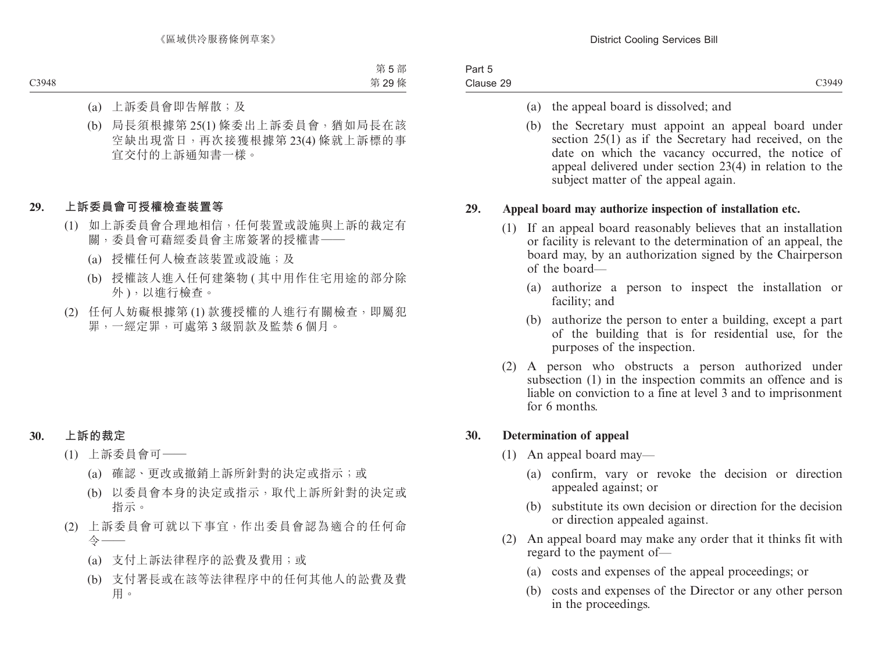| Part 5    |  |
|-----------|--|
| Clause 29 |  |

- (a) the appeal board is dissolved; and
- (b) the Secretary must appoint an appeal board under section 25(1) as if the Secretary had received, on the date on which the vacancy occurred, the notice of appeal delivered under section 23(4) in relation to the subject matter of the appeal again.

### **29. Appeal board may authorize inspection of installation etc.**

- (1) If an appeal board reasonably believes that an installation or facility is relevant to the determination of an appeal, the board may, by an authorization signed by the Chairperson of the board—
	- (a) authorize a person to inspect the installation or facility; and
	- (b) authorize the person to enter a building, except a part of the building that is for residential use, for the purposes of the inspection.
- (2) A person who obstructs a person authorized under subsection (1) in the inspection commits an offence and is liable on conviction to a fine at level 3 and to imprisonment for 6 months.

### **30. Determination of appeal**

- (1) An appeal board may—
	- (a) confirm, vary or revoke the decision or direction appealed against; or
	- (b) substitute its own decision or direction for the decision or direction appealed against.
- (2) An appeal board may make any order that it thinks fit with regard to the payment of—
	- (a) costs and expenses of the appeal proceedings; or
	- (b) costs and expenses of the Director or any other person in the proceedings.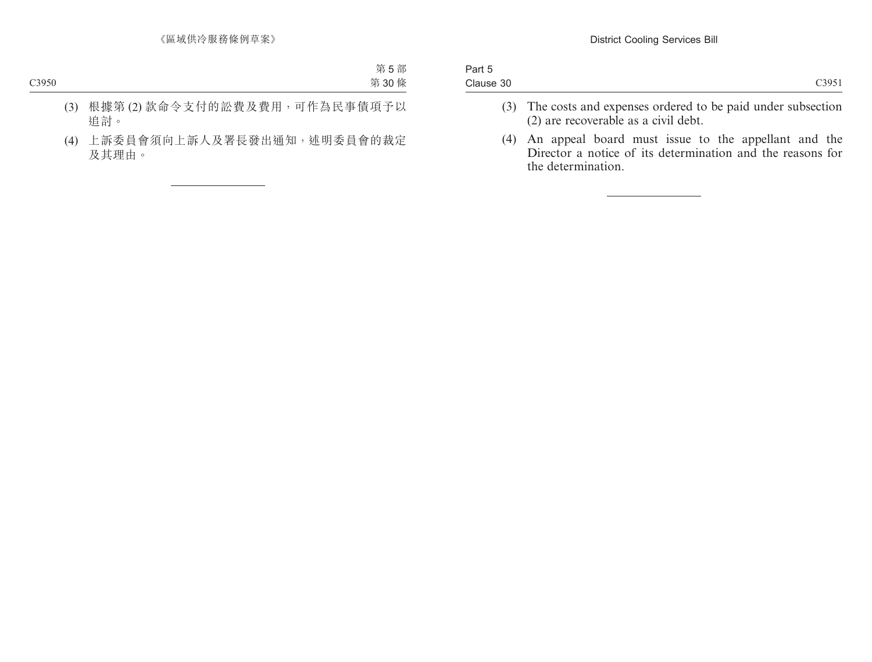| Part 5    |  |  |  |                   |
|-----------|--|--|--|-------------------|
| Clause 30 |  |  |  | C <sub>3951</sub> |
|           |  |  |  |                   |

- (3) The costs and expenses ordered to be paid under subsection (2) are recoverable as a civil debt.
- (4) An appeal board must issue to the appellant and the Director a notice of its determination and the reasons for the determination.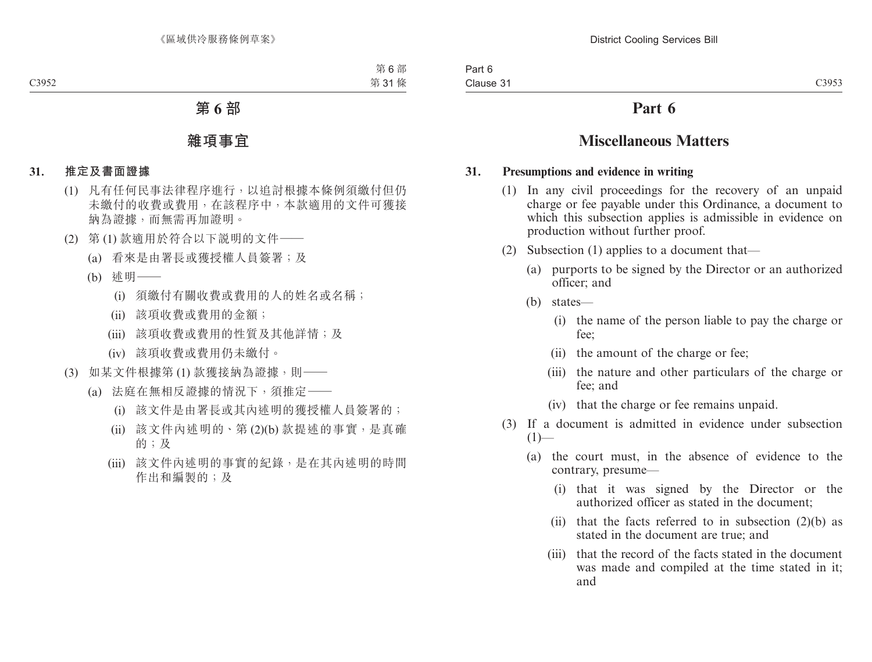### **Part 6**

### **Miscellaneous Matters**

### **31. Presumptions and evidence in writing**

- (1) In any civil proceedings for the recovery of an unpaid charge or fee payable under this Ordinance, a document to which this subsection applies is admissible in evidence on production without further proof.
- (2) Subsection (1) applies to a document that—
	- (a) purports to be signed by the Director or an authorized officer; and
	- (b) states—
		- (i) the name of the person liable to pay the charge or fee;
		- (ii) the amount of the charge or fee;
		- (iii) the nature and other particulars of the charge or fee; and
		- (iv) that the charge or fee remains unpaid.
- (3) If a document is admitted in evidence under subsection  $(1)$ —
	- (a) the court must, in the absence of evidence to the contrary, presume—
		- (i) that it was signed by the Director or the authorized officer as stated in the document;
		- (ii) that the facts referred to in subsection  $(2)(b)$  as stated in the document are true; and
		- (iii) that the record of the facts stated in the document was made and compiled at the time stated in it; and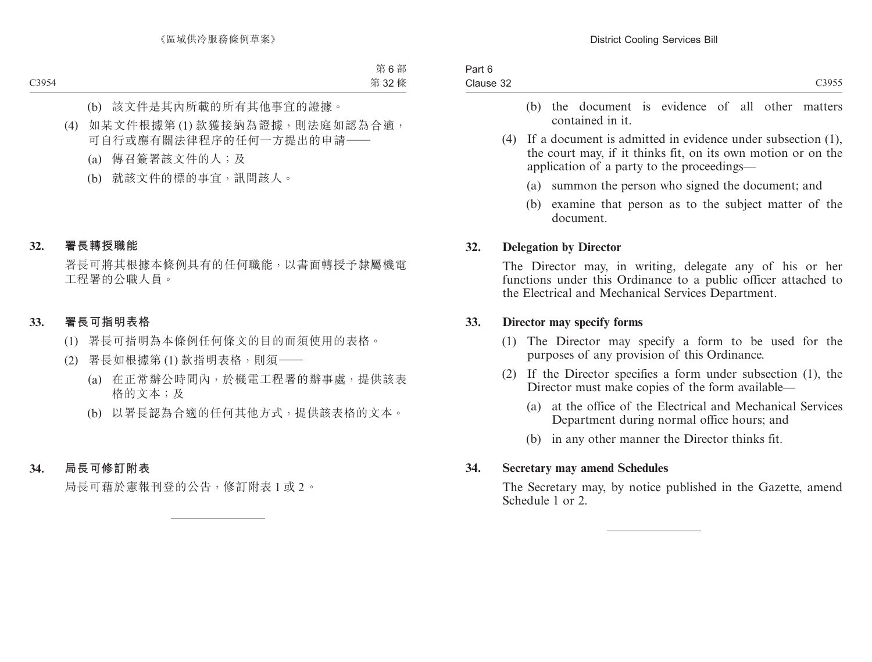- (b) the document is evidence of all other matters contained in it.
- (4) If a document is admitted in evidence under subsection (1), the court may, if it thinks fit, on its own motion or on the application of a party to the proceedings—
	- (a) summon the person who signed the document; and
	- (b) examine that person as to the subject matter of the document.

### **32. Delegation by Director**

The Director may, in writing, delegate any of his or her functions under this Ordinance to a public officer attached to the Electrical and Mechanical Services Department.

#### **33. Director may specify forms**

- (1) The Director may specify a form to be used for the purposes of any provision of this Ordinance.
- (2) If the Director specifies a form under subsection (1), the Director must make copies of the form available—
	- (a) at the office of the Electrical and Mechanical Services Department during normal office hours; and
	- (b) in any other manner the Director thinks fit.

### **34. Secretary may amend Schedules**

The Secretary may, by notice published in the Gazette, amend Schedule 1 or 2.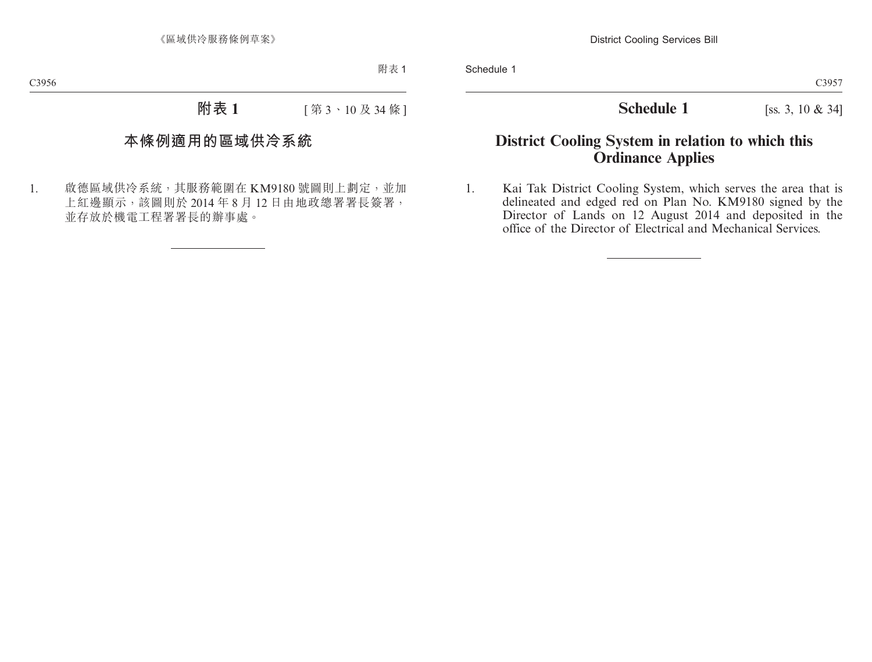**Schedule 1** [ss. 3, 10 & 34]

### **District Cooling System in relation to which this Ordinance Applies**

1. Kai Tak District Cooling System, which serves the area that is delineated and edged red on Plan No. KM9180 signed by the Director of Lands on 12 August 2014 and deposited in the office of the Director of Electrical and Mechanical Services.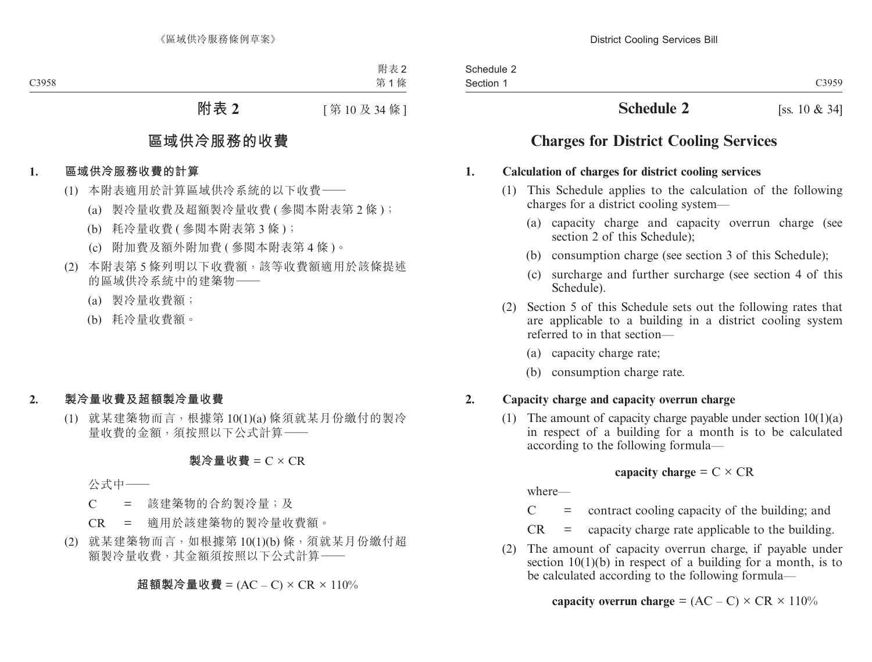### **Schedule 2** [ss. 10 & 34]

### **Charges for District Cooling Services**

### **1. Calculation of charges for district cooling services**

- (1) This Schedule applies to the calculation of the following charges for a district cooling system—
	- (a) capacity charge and capacity overrun charge (see section 2 of this Schedule);
	- (b) consumption charge (see section 3 of this Schedule);
	- (c) surcharge and further surcharge (see section 4 of this Schedule).
- (2) Section 5 of this Schedule sets out the following rates that are applicable to a building in a district cooling system referred to in that section—
	- (a) capacity charge rate;
	- (b) consumption charge rate.

### **2. Capacity charge and capacity overrun charge**

(1) The amount of capacity charge payable under section  $10(1)(a)$ in respect of a building for a month is to be calculated according to the following formula—

### **capacity charge** =  $C \times CR$

where—

 $C =$  contract cooling capacity of the building; and

 $CR =$  capacity charge rate applicable to the building.

(2) The amount of capacity overrun charge, if payable under section  $10(1)(b)$  in respect of a building for a month, is to be calculated according to the following formula—

**capacity overrun charge** =  $(AC - C) \times CR \times 110\%$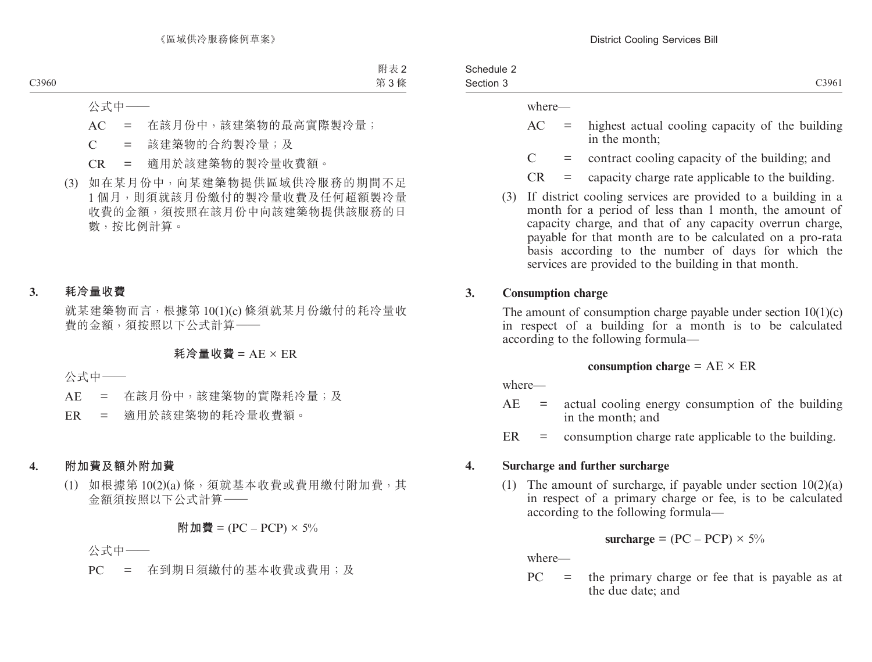| Schedule 2 |                   |
|------------|-------------------|
| Section 3  | C <sub>3961</sub> |

where—

- $AC =$  highest actual cooling capacity of the building in the month;
- $C =$  contract cooling capacity of the building; and
- $CR =$  capacity charge rate applicable to the building.
- (3) If district cooling services are provided to a building in a month for a period of less than 1 month, the amount of capacity charge, and that of any capacity overrun charge, payable for that month are to be calculated on a pro-rata basis according to the number of days for which the services are provided to the building in that month.

### **3. Consumption charge**

The amount of consumption charge payable under section  $10(1)(c)$ in respect of a building for a month is to be calculated according to the following formula—

### **consumption charge** =  $AE \times ER$

where—

- $AE = actual cooling energy consumption of the building$ in the month; and
- $ER =$  consumption charge rate applicable to the building.

### **4. Surcharge and further surcharge**

(1) The amount of surcharge, if payable under section  $10(2)(a)$ in respect of a primary charge or fee, is to be calculated according to the following formula—

$$
surface = (PC - PCP) \times 5\%
$$

where—

 $PC =$  the primary charge or fee that is payable as at the due date; and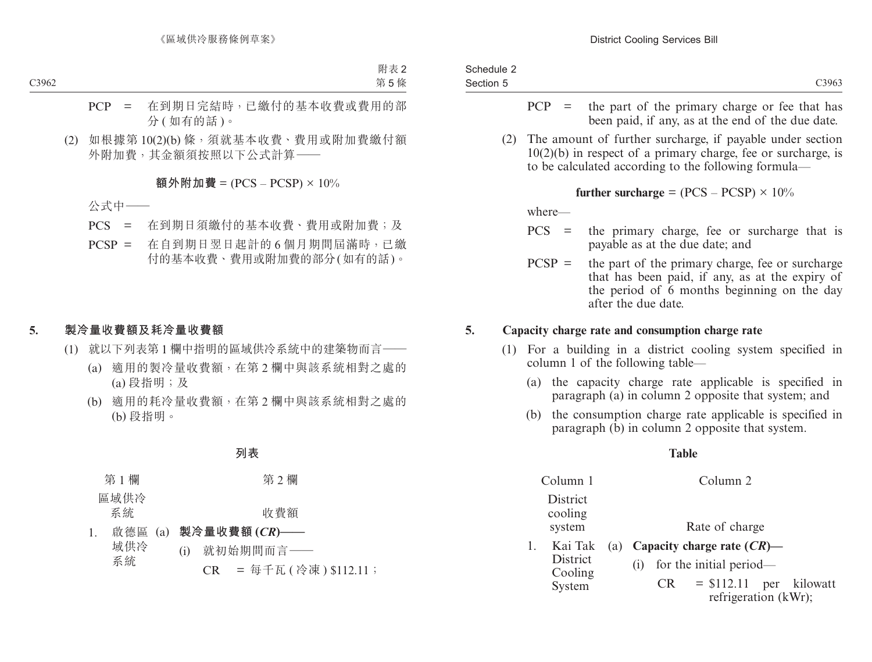| Schedule 2 |                   |
|------------|-------------------|
| Section 5  | C <sub>3963</sub> |
|            |                   |

- $PCP =$  the part of the primary charge or fee that has been paid, if any, as at the end of the due date.
- (2) The amount of further surcharge, if payable under section 10(2)(b) in respect of a primary charge, fee or surcharge, is to be calculated according to the following formula—

**further surcharge** =  $(PCS - PCSP) \times 10\%$ 

where—

 $1<sub>k</sub>$ 

System

- PCS = the primary charge, fee or surcharge that is payable as at the due date; and
- $PCSP =$  the part of the primary charge, fee or surcharge that has been paid, if any, as at the expiry of the period of 6 months beginning on the day after the due date.

### **5. Capacity charge rate and consumption charge rate**

- (1) For a building in a district cooling system specified in column 1 of the following table—
	- (a) the capacity charge rate applicable is specified in paragraph (a) in column 2 opposite that system; and
	- (b) the consumption charge rate applicable is specified in paragraph (b) in column 2 opposite that system.

### **Table**

| Column 1                       | Column 2                                                            |
|--------------------------------|---------------------------------------------------------------------|
| District<br>cooling<br>system  | Rate of charge                                                      |
| Kai Tak<br>District<br>Cooling | (a) Capacity charge rate $(CR)$ —<br>for the initial period—<br>(1) |

 $CR = $112.11$  per kilowatt refrigeration (kWr);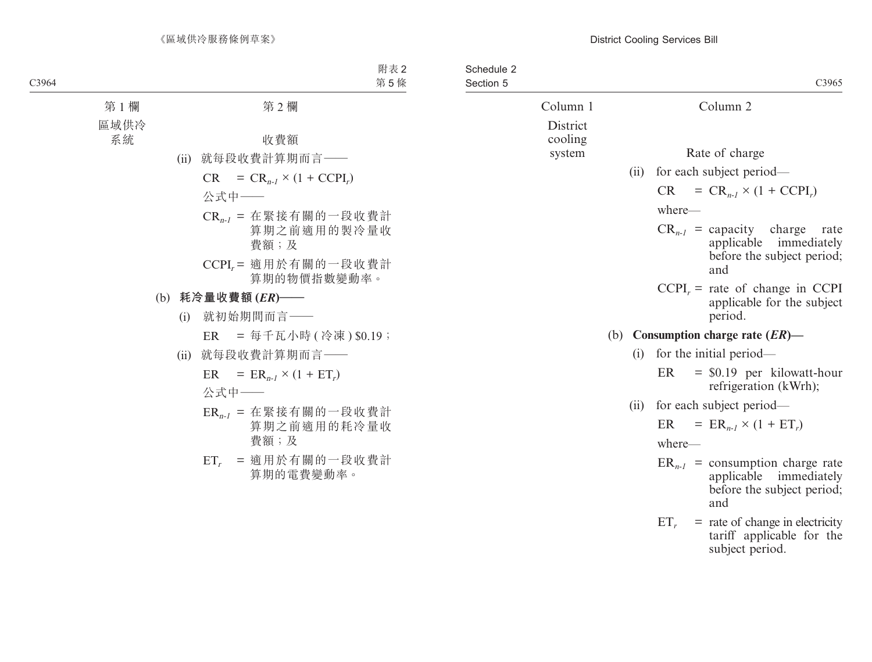| Schedule 2<br>Section 5 |                          |      | C3965                                                                                               |
|-------------------------|--------------------------|------|-----------------------------------------------------------------------------------------------------|
|                         | Column 1                 |      | Column <sub>2</sub>                                                                                 |
|                         | District<br>cooling      |      |                                                                                                     |
|                         | system                   |      | Rate of charge                                                                                      |
|                         |                          | (ii) | for each subject period—                                                                            |
|                         |                          |      | $= CR_{n-l} \times (1 + CCPI_r)$<br><b>CR</b>                                                       |
|                         |                          |      | where-                                                                                              |
|                         |                          |      | $CR_{n-1}$ = capacity charge<br>rate<br>applicable immediately<br>before the subject period;<br>and |
|                         |                          |      | $CCPIr$ = rate of change in CCPI<br>applicable for the subject<br>period.                           |
|                         |                          |      | (b) Consumption charge rate $(ER)$ —                                                                |
|                         |                          | (i)  | for the initial period—                                                                             |
|                         |                          |      | $=$ \$0.19 per kilowatt-hour<br>ER<br>refrigeration (kWrh);                                         |
| (ii)                    | for each subject period— |      |                                                                                                     |
|                         |                          |      | $= ER_{n-1} \times (1 + ET_r)$<br>ER                                                                |
|                         |                          |      | where-                                                                                              |
|                         |                          |      | $ER_{n-1}$ = consumption charge rate<br>applicable immediately<br>before the subject period;<br>and |
|                         |                          |      | $ET_r$ = rate of change in electricity<br>tariff applicable for the<br>subject period.              |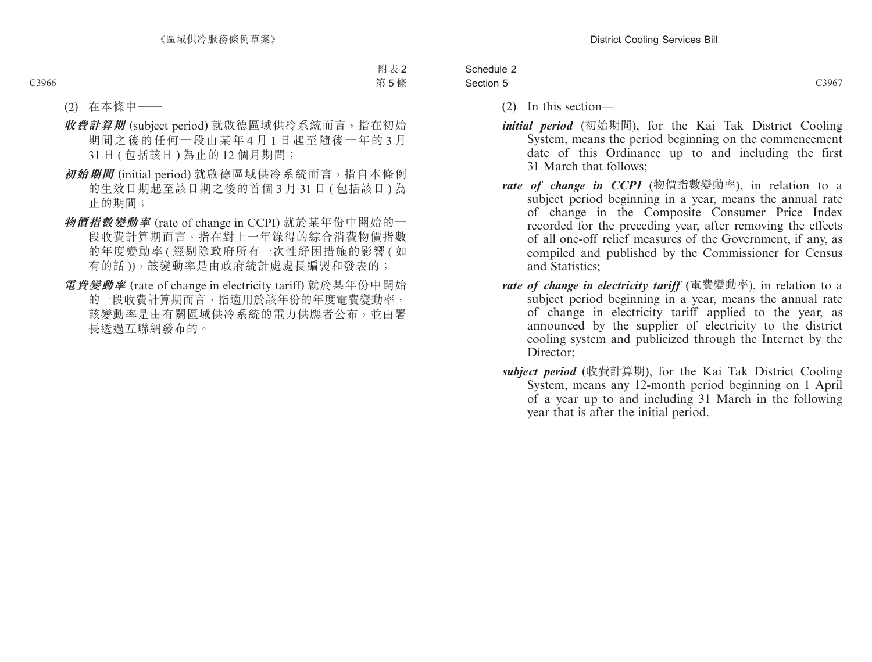| Schedule 2 |       |
|------------|-------|
| Section 5  | C3967 |

- (2) In this section—
- *initial period* (初始期間), for the Kai Tak District Cooling System, means the period beginning on the commencement date of this Ordinance up to and including the first 31 March that follows;
- *rate of change in CCPI* (物價指數變動率), in relation to a subject period beginning in a year, means the annual rate of change in the Composite Consumer Price Index recorded for the preceding year, after removing the effects of all one-off relief measures of the Government, if any, as compiled and published by the Commissioner for Census and Statistics;
- *rate of change in electricity tariff* (電費變動率), in relation to a subject period beginning in a year, means the annual rate of change in electricity tariff applied to the year, as announced by the supplier of electricity to the district cooling system and publicized through the Internet by the Director;
- *subject period* (收費計算期), for the Kai Tak District Cooling System, means any 12-month period beginning on 1 April of a year up to and including 31 March in the following year that is after the initial period.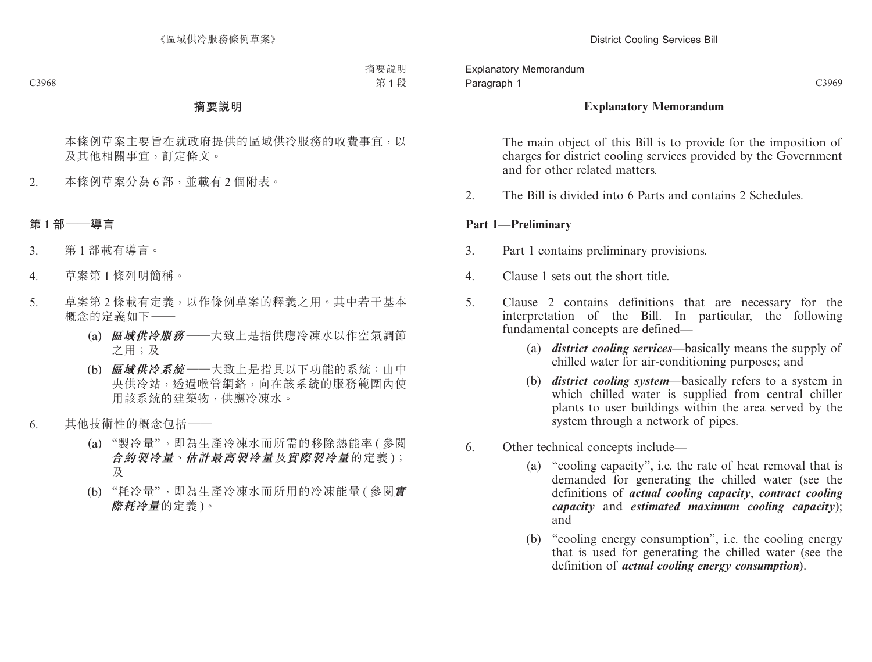### **Explanatory Memorandum**

The main object of this Bill is to provide for the imposition of charges for district cooling services provided by the Government and for other related matters.

2. The Bill is divided into 6 Parts and contains 2 Schedules.

### **Part 1—Preliminary**

- 3. Part 1 contains preliminary provisions.
- 4. Clause 1 sets out the short title.
- 5. Clause 2 contains definitions that are necessary for the interpretation of the Bill. In particular, the following fundamental concepts are defined—
	- (a) *district cooling services*—basically means the supply of chilled water for air-conditioning purposes; and
	- (b) *district cooling system*—basically refers to a system in which chilled water is supplied from central chiller plants to user buildings within the area served by the system through a network of pipes.
- 6. Other technical concepts include—
	- (a) "cooling capacity", i.e. the rate of heat removal that is demanded for generating the chilled water (see the definitions of *actual cooling capacity*, *contract cooling capacity* and *estimated maximum cooling capacity*); and
	- (b) "cooling energy consumption", i.e. the cooling energy that is used for generating the chilled water (see the definition of *actual cooling energy consumption*).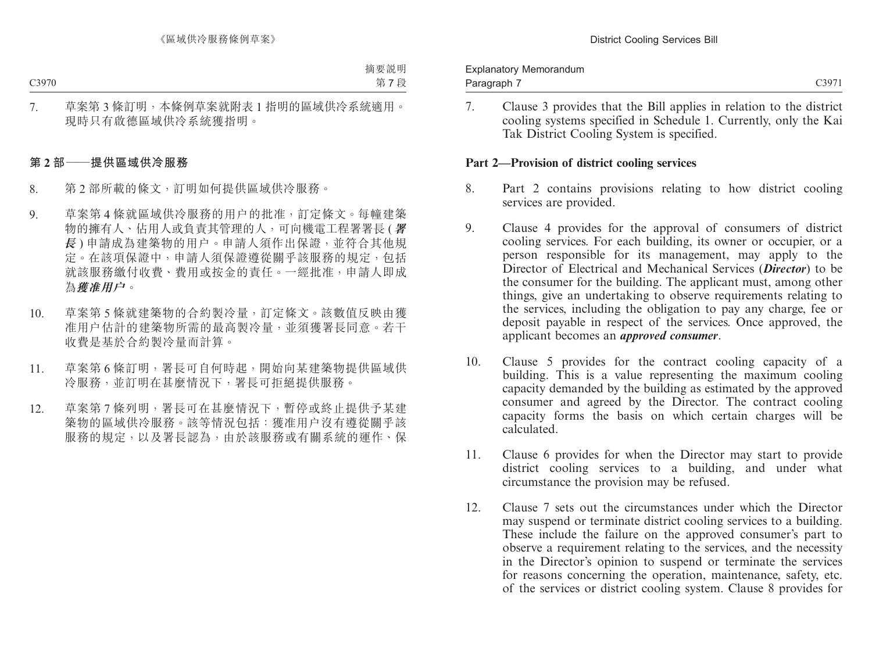| <b>Explanatory Memorandum</b> |       |
|-------------------------------|-------|
| Paragraph 7                   | C3971 |

7. Clause 3 provides that the Bill applies in relation to the district cooling systems specified in Schedule 1. Currently, only the Kai Tak District Cooling System is specified.

### **Part 2—Provision of district cooling services**

- 8. Part 2 contains provisions relating to how district cooling services are provided.
- 9. Clause 4 provides for the approval of consumers of district cooling services. For each building, its owner or occupier, or a person responsible for its management, may apply to the Director of Electrical and Mechanical Services (*Director*) to be the consumer for the building. The applicant must, among other things, give an undertaking to observe requirements relating to the services, including the obligation to pay any charge, fee or deposit payable in respect of the services. Once approved, the applicant becomes an *approved consumer*.
- 10. Clause 5 provides for the contract cooling capacity of a building. This is a value representing the maximum cooling capacity demanded by the building as estimated by the approved consumer and agreed by the Director. The contract cooling capacity forms the basis on which certain charges will be calculated.
- 11. Clause 6 provides for when the Director may start to provide district cooling services to a building, and under what circumstance the provision may be refused.
- 12. Clause 7 sets out the circumstances under which the Director may suspend or terminate district cooling services to a building. These include the failure on the approved consumer's part to observe a requirement relating to the services, and the necessity in the Director's opinion to suspend or terminate the services for reasons concerning the operation, maintenance, safety, etc. of the services or district cooling system. Clause 8 provides for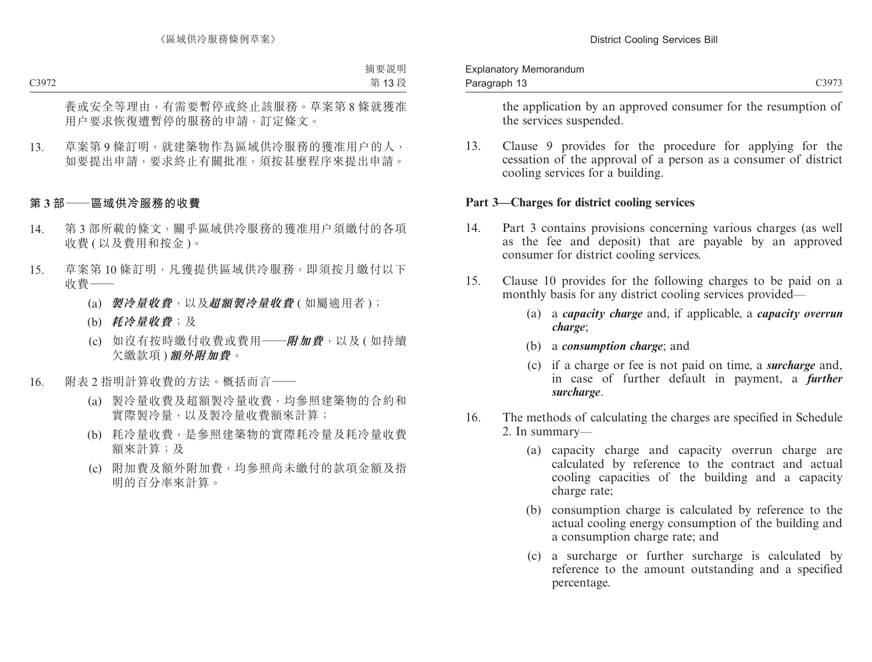| <b>Explanatory Memorandum</b> |       |
|-------------------------------|-------|
| Paragraph 13                  | C3973 |

the application by an approved consumer for the resumption of the services suspended.

13. Clause 9 provides for the procedure for applying for the cessation of the approval of a person as a consumer of district cooling services for a building.

#### **Part 3—Charges for district cooling services**

- 14. Part 3 contains provisions concerning various charges (as well as the fee and deposit) that are payable by an approved consumer for district cooling services.
- 15. Clause 10 provides for the following charges to be paid on a monthly basis for any district cooling services provided—
	- (a) a *capacity charge* and, if applicable, a *capacity overrun charge*;
	- (b) a *consumption charge*; and
	- (c) if a charge or fee is not paid on time, a *surcharge* and, in case of further default in payment, a *further surcharge*.
- 16. The methods of calculating the charges are specified in Schedule 2. In summary—
	- (a) capacity charge and capacity overrun charge are calculated by reference to the contract and actual cooling capacities of the building and a capacity charge rate;
	- (b) consumption charge is calculated by reference to the actual cooling energy consumption of the building and a consumption charge rate; and
	- (c) a surcharge or further surcharge is calculated by reference to the amount outstanding and a specified percentage.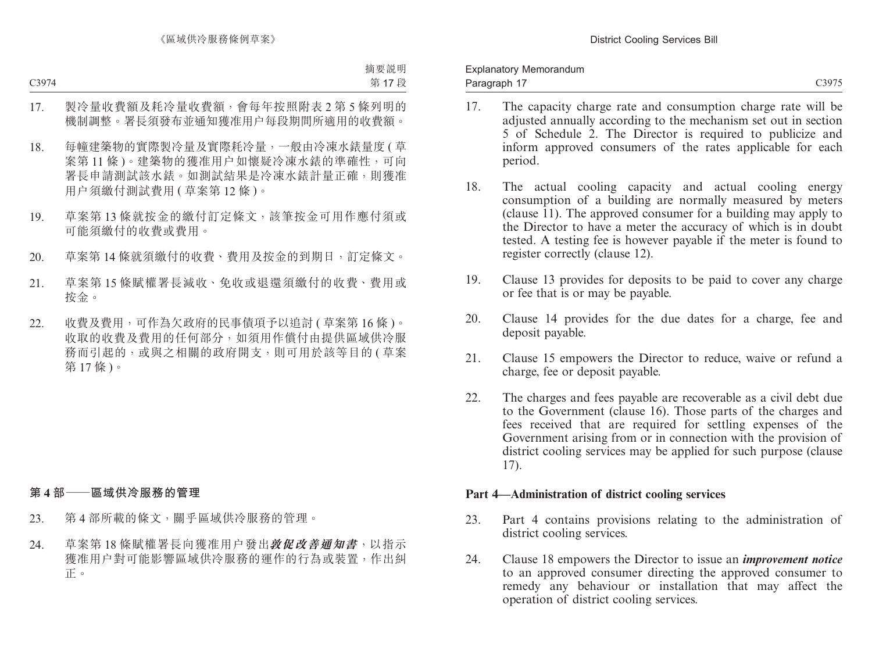- 17. The capacity charge rate and consumption charge rate will be adjusted annually according to the mechanism set out in section 5 of Schedule 2. The Director is required to publicize and inform approved consumers of the rates applicable for each period.
- 18. The actual cooling capacity and actual cooling energy consumption of a building are normally measured by meters (clause  $11$ ). The approved consumer for a building may apply to the Director to have a meter the accuracy of which is in doubt tested. A testing fee is however payable if the meter is found to register correctly (clause 12).
- 19. Clause 13 provides for deposits to be paid to cover any charge or fee that is or may be payable.
- 20. Clause 14 provides for the due dates for a charge, fee and deposit payable.
- 21. Clause 15 empowers the Director to reduce, waive or refund a charge, fee or deposit payable.
- 22. The charges and fees payable are recoverable as a civil debt due to the Government (clause 16). Those parts of the charges and fees received that are required for settling expenses of the Government arising from or in connection with the provision of district cooling services may be applied for such purpose (clause 17).

### **Part 4—Administration of district cooling services**

- 23. Part 4 contains provisions relating to the administration of district cooling services.
- 24. Clause 18 empowers the Director to issue an *improvement notice* to an approved consumer directing the approved consumer to remedy any behaviour or installation that may affect the operation of district cooling services.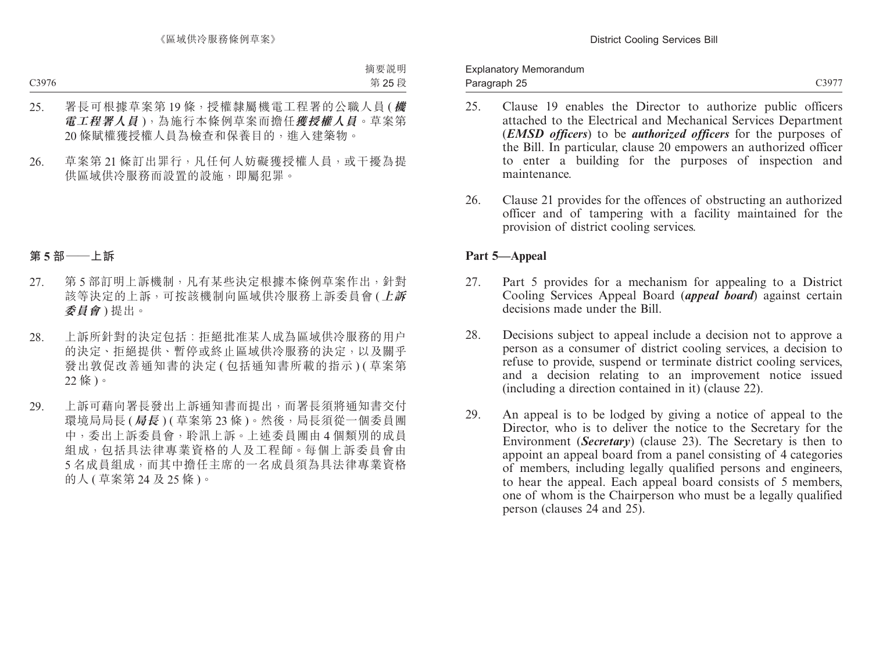Explanatory Memorandum Paragraph 25

- 25. Clause 19 enables the Director to authorize public officers attached to the Electrical and Mechanical Services Department (*EMSD officers*) to be *authorized officers* for the purposes of the Bill. In particular, clause 20 empowers an authorized officer to enter a building for the purposes of inspection and maintenance.
- 26. Clause 21 provides for the offences of obstructing an authorized officer and of tampering with a facility maintained for the provision of district cooling services.

### **Part 5—Appeal**

- 27. Part 5 provides for a mechanism for appealing to a District Cooling Services Appeal Board (*appeal board*) against certain decisions made under the Bill.
- 28. Decisions subject to appeal include a decision not to approve a person as a consumer of district cooling services, a decision to refuse to provide, suspend or terminate district cooling services, and a decision relating to an improvement notice issued (including a direction contained in it) (clause 22).
- 29. An appeal is to be lodged by giving a notice of appeal to the Director, who is to deliver the notice to the Secretary for the Environment (*Secretary*) (clause 23). The Secretary is then to appoint an appeal board from a panel consisting of 4 categories of members, including legally qualified persons and engineers, to hear the appeal. Each appeal board consists of 5 members, one of whom is the Chairperson who must be a legally qualified person (clauses 24 and 25).